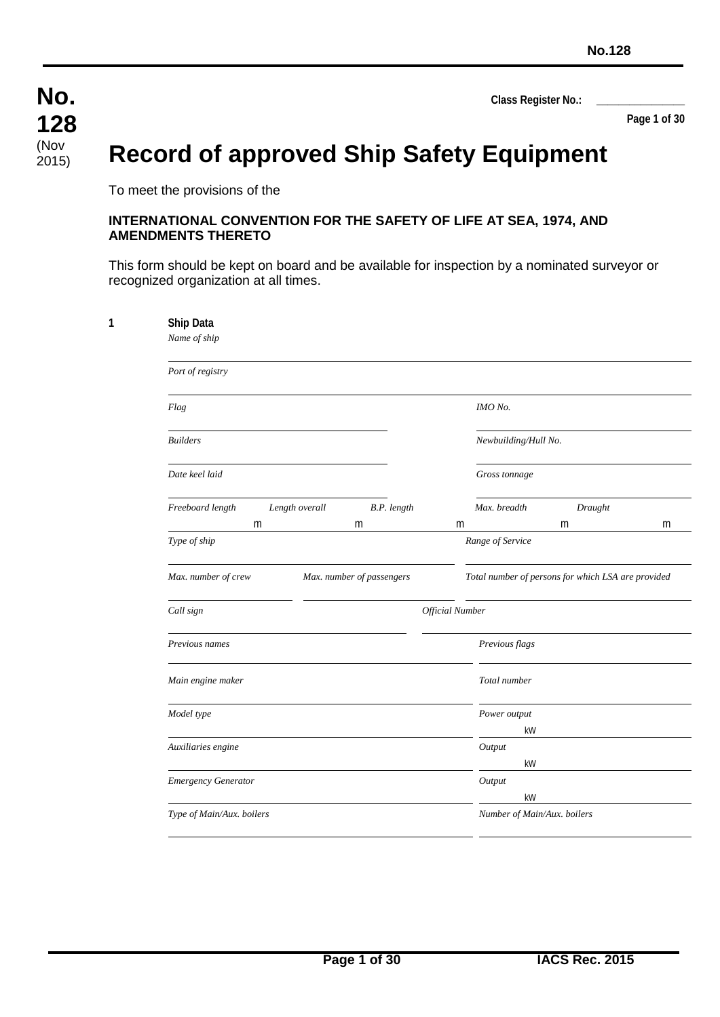**Page 1 of 30**

# **Record of approved Ship Safety Equipment**

To meet the provisions of the

#### **INTERNATIONAL CONVENTION FOR THE SAFETY OF LIFE AT SEA, 1974, AND AMENDMENTS THERETO**

This form should be kept on board and be available for inspection by a nominated surveyor or recognized organization at all times.

| Ship Data<br>Name of ship |                |             |                        |                             |   |
|---------------------------|----------------|-------------|------------------------|-----------------------------|---|
| Port of registry          |                |             |                        |                             |   |
| Flag                      |                |             |                        |                             |   |
| <b>Builders</b>           |                |             |                        | Newbuilding/Hull No.        |   |
| Date keel laid            |                |             | Gross tonnage          |                             |   |
| Freeboard length          | Length overall | B.P. length | Max. breadth           | Draught                     |   |
| Type of ship              | m              | m           | m<br>Range of Service  | m                           | m |
| Call sign                 |                |             | <b>Official Number</b> |                             |   |
| Previous names            |                |             | Previous flags         |                             |   |
| Main engine maker         |                |             | Total number           |                             |   |
| Model type                |                |             | Power output           | kW                          |   |
| Auxiliaries engine        |                |             | Output                 | kW                          |   |
| Emergency Generator       |                |             | Output                 | kW                          |   |
| Type of Main/Aux. boilers |                |             |                        | Number of Main/Aux. boilers |   |
|                           |                |             |                        |                             |   |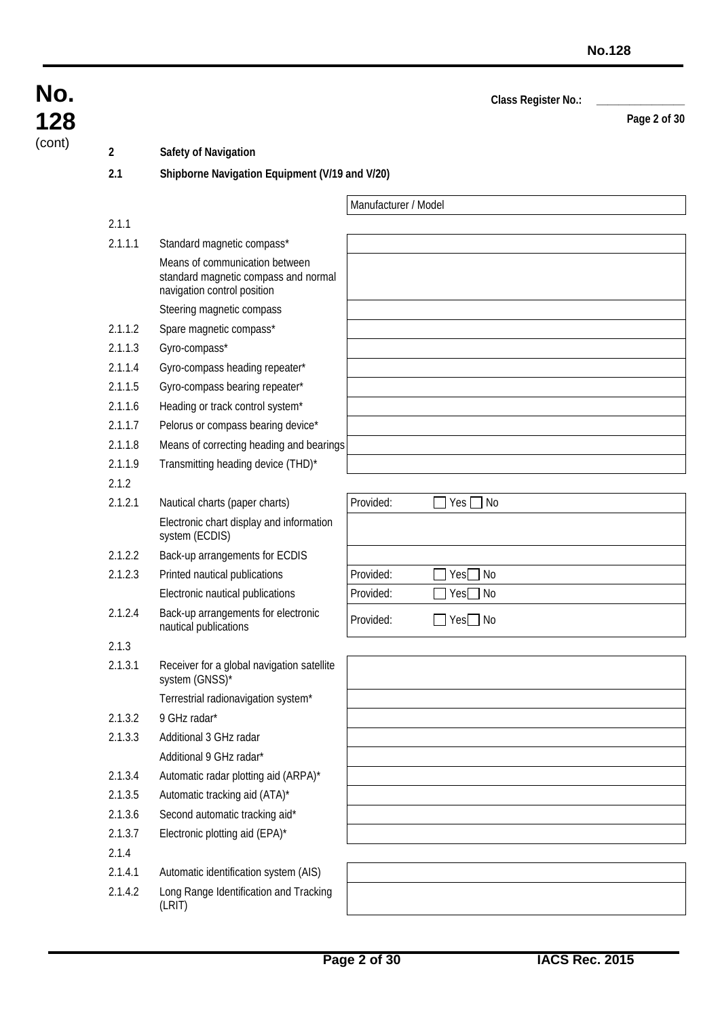|         |                                                                                                       |                      | Class Register No.:           |              |
|---------|-------------------------------------------------------------------------------------------------------|----------------------|-------------------------------|--------------|
|         |                                                                                                       |                      |                               | Page 2 of 30 |
| 2       | Safety of Navigation                                                                                  |                      |                               |              |
| 2.1     | Shipborne Navigation Equipment (V/19 and V/20)                                                        |                      |                               |              |
|         |                                                                                                       | Manufacturer / Model |                               |              |
| 2.1.1   |                                                                                                       |                      |                               |              |
| 2.1.1.1 | Standard magnetic compass*                                                                            |                      |                               |              |
|         | Means of communication between<br>standard magnetic compass and normal<br>navigation control position |                      |                               |              |
|         | Steering magnetic compass                                                                             |                      |                               |              |
| 2.1.1.2 | Spare magnetic compass*                                                                               |                      |                               |              |
| 2.1.1.3 | Gyro-compass*                                                                                         |                      |                               |              |
| 2.1.1.4 | Gyro-compass heading repeater*                                                                        |                      |                               |              |
| 2.1.1.5 | Gyro-compass bearing repeater*                                                                        |                      |                               |              |
| 2.1.1.6 | Heading or track control system*                                                                      |                      |                               |              |
| 2.1.1.7 | Pelorus or compass bearing device*                                                                    |                      |                               |              |
| 2.1.1.8 | Means of correcting heading and bearings                                                              |                      |                               |              |
| 2.1.1.9 | Transmitting heading device (THD)*                                                                    |                      |                               |              |
| 2.1.2   |                                                                                                       |                      |                               |              |
| 2.1.2.1 | Nautical charts (paper charts)                                                                        | Provided:            | No<br>Yes                     |              |
|         | Electronic chart display and information<br>system (ECDIS)                                            |                      |                               |              |
| 2.1.2.2 | Back-up arrangements for ECDIS                                                                        |                      |                               |              |
| 2.1.2.3 | Printed nautical publications                                                                         | Provided:            | <b>No</b><br>Yes <sup>[</sup> |              |
|         | Electronic nautical publications                                                                      | Provided:            | No<br>Yes                     |              |
| 2.1.2.4 | Back-up arrangements for electronic<br>nautical publications                                          | Provided:            | ] Yes□ No                     |              |
| 2.1.3   |                                                                                                       |                      |                               |              |
| 2.1.3.1 | Receiver for a global navigation satellite<br>system (GNSS)*                                          |                      |                               |              |
|         | Terrestrial radionavigation system*                                                                   |                      |                               |              |
| 2.1.3.2 | 9 GHz radar*                                                                                          |                      |                               |              |
| 2.1.3.3 | Additional 3 GHz radar                                                                                |                      |                               |              |
|         | Additional 9 GHz radar*                                                                               |                      |                               |              |
| 2.1.3.4 | Automatic radar plotting aid (ARPA)*                                                                  |                      |                               |              |
| 2.1.3.5 | Automatic tracking aid (ATA)*                                                                         |                      |                               |              |
| 2.1.3.6 | Second automatic tracking aid*                                                                        |                      |                               |              |
| 2.1.3.7 | Electronic plotting aid (EPA)*                                                                        |                      |                               |              |
| 2.1.4   |                                                                                                       |                      |                               |              |
| 2.1.4.1 | Automatic identification system (AIS)                                                                 |                      |                               |              |
| 2.1.4.2 | Long Range Identification and Tracking<br>(LRIT)                                                      |                      |                               |              |

**No.**

**128**  $(cont)$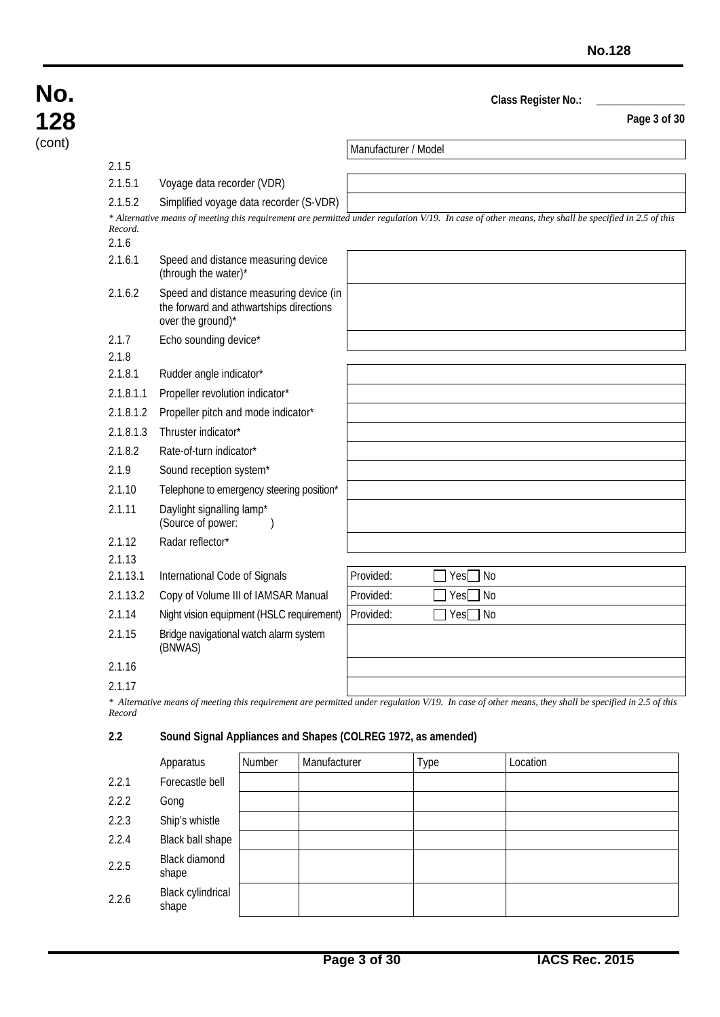#### **Page 3 of 30**

| No.    |
|--------|
| 128    |
| (cont) |

Manufacturer / Model 2.1.5 2.1.5.1 Voyage data recorder (VDR) 2.1.5.2 Simplified voyage data recorder (S-VDR) *\* Alternative means of meeting this requirement are permitted under regulation V/19. In case of other means, they shall be specified in 2.5 of this Record.* 2.1.6 2.1.6.1 Speed and distance measuring device (through the water)\* 2.1.6.2 Speed and distance measuring device (in the forward and athwartships directions over the ground)\* 2.1.7 Echo sounding device\* 2.1.8 2.1.8.1 Rudder angle indicator\* 2.1.8.1.1 Propeller revolution indicator\* 2.1.8.1.2 Propeller pitch and mode indicator\* 2.1.8.1.3 Thruster indicator\* 2.1.8.2 Rate-of-turn indicator\* 2.1.9 Sound reception system\* 2.1.10 Telephone to emergency steering position\* 2.1.11 Daylight signalling lamp\* (Source of power: ) 2.1.12 Radar reflector\* 2.1.13 2.1.13.1 International Code of Signals | Provided: Provided: Provided: 2.1.13.2 Copy of Volume III of IAMSAR Manual Provided: **Provided:** Yes No 2.1.14 Night vision equipment (HSLC requirement) Provided: <u>Provided:</u> Reset No 2.1.15 Bridge navigational watch alarm system (BNWAS) 2.1.16

*\* Alternative means of meeting this requirement are permitted under regulation V/19. In case of other means, they shall be specified in 2.5 of this Record*

#### **2.2 Sound Signal Appliances and Shapes (COLREG 1972, as amended)**

|       | Apparatus                  | Number | Manufacturer | Type | Location |
|-------|----------------------------|--------|--------------|------|----------|
| 2.2.1 | Forecastle bell            |        |              |      |          |
| 2.2.2 | Gong                       |        |              |      |          |
| 2.2.3 | Ship's whistle             |        |              |      |          |
| 2.2.4 | Black ball shape           |        |              |      |          |
| 2.2.5 | Black diamond<br>shape     |        |              |      |          |
| 2.2.6 | Black cylindrical<br>shape |        |              |      |          |

<sup>2.1.17</sup>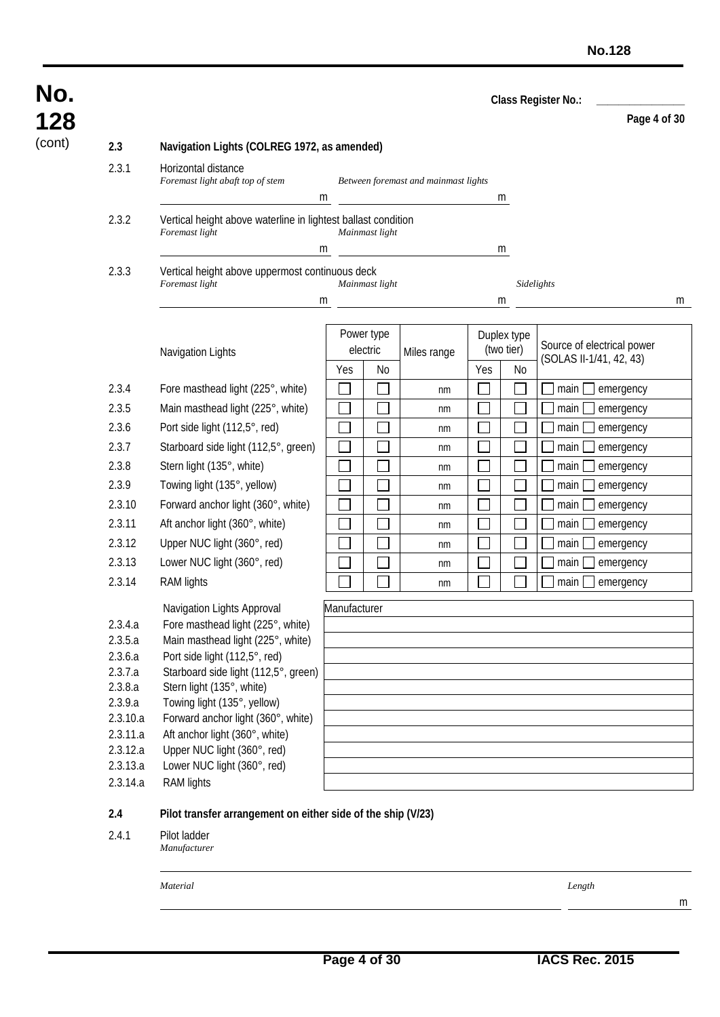**Page 4 of 30**

### (cont) **2.3 Navigation Lights (COLREG 1972, as amended)** 2.3.1 Horizontal distance *Foremast light abaft top of stem Between foremast and mainmast lights* m m 2.3.2 Vertical height above waterline in lightest ballast condition *Foremast light Mainmast light* m m 2.3.3 Vertical height above uppermost continuous deck *Foremast light Mainmast light Sidelights* m m m m Navigation Lights Power type electric | Miles range Duplex type (two tier) Source of electrical power  $\frac{3.88 \times 10^{-10}}{100}$  Willies Tarige  $\frac{100 \times 10^{-10}}{100}$  (SOLAS II-1/41, 42, 43) 2.3.4 Fore masthead light (225°, white)  $\Box$   $\Box$   $\Box$  nm  $\Box$   $\Box$   $\Box$   $\Box$  main  $\Box$  emergency 2.3.5 Main masthead light (225°, white)  $\Box$   $\Box$   $\Box$  nm  $\Box$   $\Box$   $\Box$  main  $\Box$  emergency 2.3.6 Port side light (112,5°, red)  $\Box$   $\Box$   $\Box$   $\Box$  nm  $\Box$   $\Box$   $\Box$   $\Box$  main  $\Box$  emergency 2.3.7 Starboard side light (112,5°, green)  $\Box$   $\Box$   $\Box$  nm  $\Box$   $\Box$   $\Box$   $\Box$  main  $\Box$  emergency 2.3.8 Stern light (135°, white)  $\Box$   $\Box$   $\Box$  nm  $\Box$   $\Box$   $\Box$  main  $\Box$  emergency 2.3.9 Towing light (135°, yellow)  $\Box$   $\Box$   $\Box$  nm  $\Box$   $\Box$   $\Box$   $\Box$  main  $\Box$  emergency 2.3.10 Forward anchor light  $(360^\circ, \text{white})$  nm  $\Box$  nm  $\Box$  nm  $\Box$  nm  $\Box$  main emergency 2.3.11 Aft anchor light (360°, white)  $\Box$   $\Box$   $\Box$  nm  $\Box$   $\Box$   $\Box$   $\Box$  main  $\Box$  emergency 2.3.12 Upper NUC light (360°, red)  $\Box$   $\Box$   $\Box$   $\Box$  nm  $\Box$   $\Box$   $\Box$   $\Box$  main  $\Box$  emergency 2.3.13 Lower NUC light (360°, red)  $\Box$   $\Box$   $\Box$   $\Box$  nm  $\Box$   $\Box$   $\Box$   $\Box$  main  $\Box$  emergency 2.3.14 RAM lights  $\Box$   $\Box$   $\Box$   $\Box$   $\Box$  nm  $\Box$   $\Box$   $\Box$  main  $\Box$  emergency Navigation Lights Approval Manufacturer 2.3.4.a Fore masthead light (225°, white) 2.3.5.a Main masthead light (225°, white) 2.3.6.a Port side light (112,5°, red) 2.3.7.a Starboard side light (112,5°, green) 2.3.8.a Stern light (135°, white) 2.3.9.a Towing light (135°, yellow) 2.3.10.a Forward anchor light (360°, white) 2.3.11.a Aft anchor light (360°, white) 2.3.12.a Upper NUC light (360°, red) 2.3.13.a Lower NUC light (360°, red) 2.3.14.a RAM lights **2.4 Pilot transfer arrangement on either side of the ship (V/23)** 2.4.1 Pilot ladder *Manufacturer*

*Material Length*

**No.**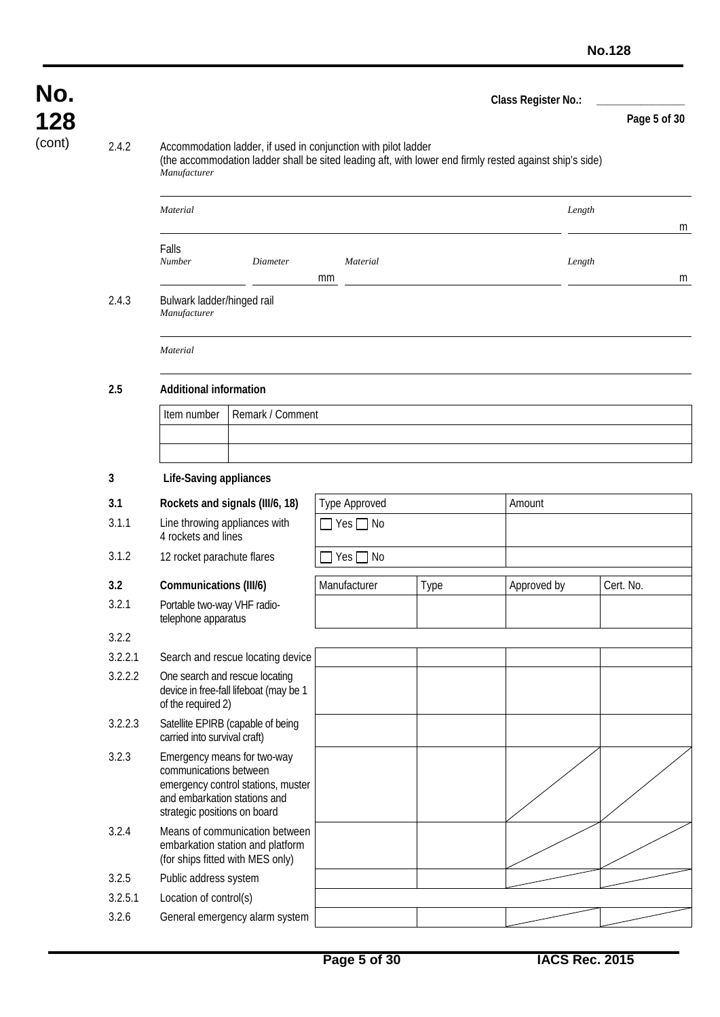| No.    |         |                                                                                                                                                                                           |                      |      | Class Register No.: |              |  |  |  |  |
|--------|---------|-------------------------------------------------------------------------------------------------------------------------------------------------------------------------------------------|----------------------|------|---------------------|--------------|--|--|--|--|
| 128    |         |                                                                                                                                                                                           |                      |      |                     | Page 5 of 30 |  |  |  |  |
| (cont) | 2.4.2   | Accommodation ladder, if used in conjunction with pilot ladder<br>(the accommodation ladder shall be sited leading aft, with lower end firmly rested against ship's side)<br>Manufacturer |                      |      |                     |              |  |  |  |  |
|        |         | Material                                                                                                                                                                                  |                      |      | Length              | m            |  |  |  |  |
|        |         | Falls<br>Number<br>Diameter                                                                                                                                                               | Material<br>mm       |      | Length              | m            |  |  |  |  |
|        | 2.4.3   | Bulwark ladder/hinged rail<br>Manufacturer                                                                                                                                                |                      |      |                     |              |  |  |  |  |
|        |         | Material                                                                                                                                                                                  |                      |      |                     |              |  |  |  |  |
|        | 2.5     | <b>Additional information</b>                                                                                                                                                             |                      |      |                     |              |  |  |  |  |
|        |         | Remark / Comment<br>Item number                                                                                                                                                           |                      |      |                     |              |  |  |  |  |
|        |         |                                                                                                                                                                                           |                      |      |                     |              |  |  |  |  |
|        | 3       | <b>Life-Saving appliances</b>                                                                                                                                                             |                      |      |                     |              |  |  |  |  |
|        | 3.1     | Rockets and signals (III/6, 18)                                                                                                                                                           | <b>Type Approved</b> |      | Amount              |              |  |  |  |  |
|        | 3.1.1   | Line throwing appliances with<br>4 rockets and lines                                                                                                                                      | $\Box$ Yes $\Box$ No |      |                     |              |  |  |  |  |
|        | 3.1.2   | 12 rocket parachute flares                                                                                                                                                                | $Yes \Box No$        |      |                     |              |  |  |  |  |
|        | 3.2     | Communications (III/6)                                                                                                                                                                    | Manufacturer         | Type | Approved by         | Cert. No.    |  |  |  |  |
|        | 3.2.1   | Portable two-way VHF radio-<br>telephone apparatus                                                                                                                                        |                      |      |                     |              |  |  |  |  |
|        | 3.2.2   |                                                                                                                                                                                           |                      |      |                     |              |  |  |  |  |
|        | 3.2.2.1 | Search and rescue locating device                                                                                                                                                         |                      |      |                     |              |  |  |  |  |
|        | 3.2.2.2 | One search and rescue locating<br>device in free-fall lifeboat (may be 1<br>of the required 2)                                                                                            |                      |      |                     |              |  |  |  |  |
|        | 3.2.2.3 | Satellite EPIRB (capable of being<br>carried into survival craft)                                                                                                                         |                      |      |                     |              |  |  |  |  |
|        | 3.2.3   | Emergency means for two-way<br>communications between<br>emergency control stations, muster<br>and embarkation stations and<br>strategic positions on board                               |                      |      |                     |              |  |  |  |  |
|        | 3.2.4   | Means of communication between<br>embarkation station and platform<br>(for ships fitted with MES only)                                                                                    |                      |      |                     |              |  |  |  |  |
|        | 3.2.5   | Public address system                                                                                                                                                                     |                      |      |                     |              |  |  |  |  |
|        | 3.2.5.1 | Location of control(s)                                                                                                                                                                    |                      |      |                     |              |  |  |  |  |
|        | 3.2.6   | General emergency alarm system                                                                                                                                                            |                      |      |                     |              |  |  |  |  |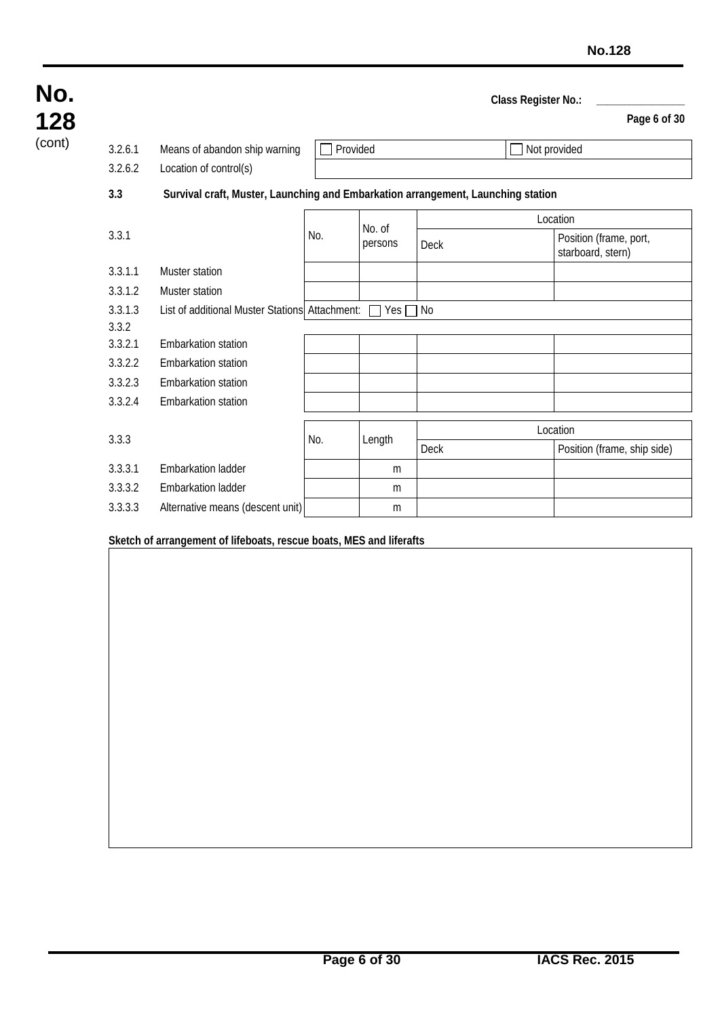| No.    |         |                                                                                  |                    |               | Class Register No.: |                                             |  |  |  |
|--------|---------|----------------------------------------------------------------------------------|--------------------|---------------|---------------------|---------------------------------------------|--|--|--|
| 128    |         |                                                                                  |                    |               |                     | Page 6 of 30                                |  |  |  |
| (cont) | 3.2.6.1 | Means of abandon ship warning                                                    | Provided           |               |                     | Not provided                                |  |  |  |
|        | 3.2.6.2 | Location of control(s)                                                           |                    |               |                     |                                             |  |  |  |
|        | 3.3     | Survival craft, Muster, Launching and Embarkation arrangement, Launching station |                    |               |                     |                                             |  |  |  |
|        |         |                                                                                  | Location<br>No. of |               |                     |                                             |  |  |  |
|        | 3.3.1   |                                                                                  | No.                | persons       | Deck                | Position (frame, port,<br>starboard, stern) |  |  |  |
|        | 3.3.1.1 | Muster station                                                                   |                    |               |                     |                                             |  |  |  |
|        | 3.3.1.2 | Muster station                                                                   |                    |               |                     |                                             |  |  |  |
|        | 3.3.1.3 | List of additional Muster Stations Attachment:                                   |                    | $Yes \Box No$ |                     |                                             |  |  |  |
|        | 3.3.2   |                                                                                  |                    |               |                     |                                             |  |  |  |
|        | 3.3.2.1 | <b>Embarkation station</b>                                                       |                    |               |                     |                                             |  |  |  |
|        | 3.3.2.2 | <b>Embarkation station</b>                                                       |                    |               |                     |                                             |  |  |  |
|        | 3.3.2.3 | <b>Embarkation station</b>                                                       |                    |               |                     |                                             |  |  |  |
|        | 3.3.2.4 | <b>Embarkation station</b>                                                       |                    |               |                     |                                             |  |  |  |
|        |         |                                                                                  |                    |               |                     | Location                                    |  |  |  |
|        | 3.3.3   |                                                                                  | No.                | Length        | <b>Deck</b>         | Position (frame, ship side)                 |  |  |  |
|        | 3.3.3.1 | <b>Embarkation ladder</b>                                                        |                    | m             |                     |                                             |  |  |  |
|        | 3.3.3.2 | <b>Embarkation ladder</b>                                                        |                    | m             |                     |                                             |  |  |  |
|        | 3.3.3.3 | Alternative means (descent unit)                                                 |                    | m             |                     |                                             |  |  |  |

**Sketch of arrangement of lifeboats, rescue boats, MES and liferafts**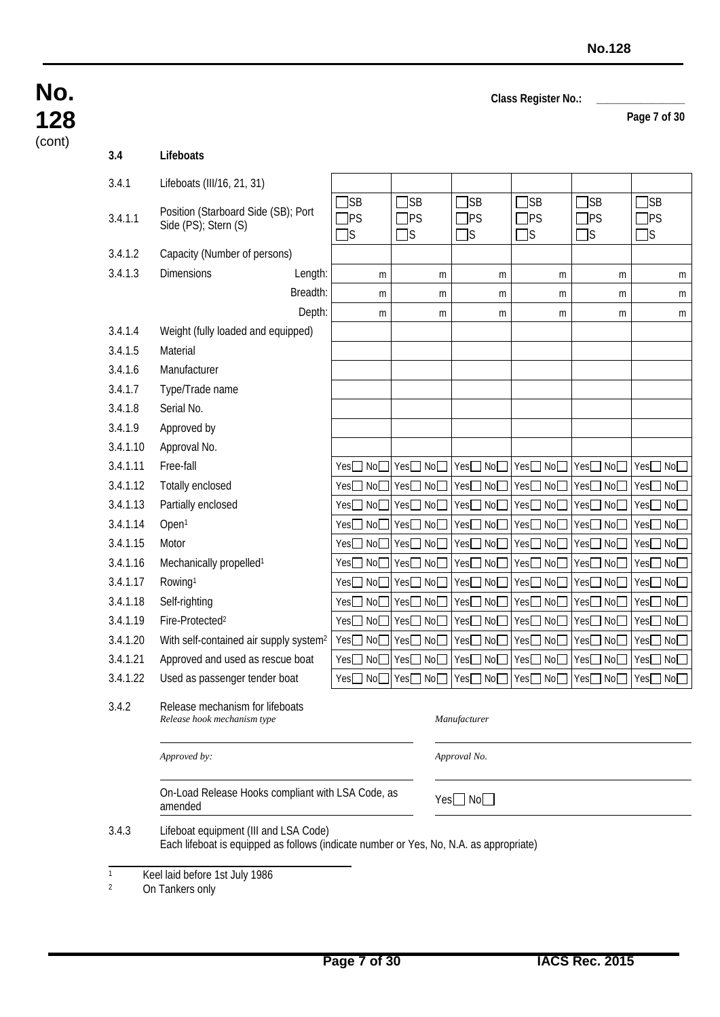**Page 7 of 30**

| No.    |
|--------|
| 128    |
| (cont) |

| 3.4      | Lifeboats                                                                                                                       |                                                       |                        |                                     |                         |                         |                  |  |  |
|----------|---------------------------------------------------------------------------------------------------------------------------------|-------------------------------------------------------|------------------------|-------------------------------------|-------------------------|-------------------------|------------------|--|--|
| 3.4.1    | Lifeboats (III/16, 21, 31)                                                                                                      |                                                       |                        |                                     |                         |                         |                  |  |  |
| 3.4.1.1  | Position (Starboard Side (SB); Port<br>Side (PS); Stern (S)                                                                     | ]SB<br><b>PS</b><br>]S                                | ]SB<br>]PS<br>]s       | ]SB<br><b>JPS</b><br>]s             | ]SB<br><b>TPS</b><br>∃s | ]SB<br><b>JPS</b><br>]s | ]SB<br>]PS<br>]s |  |  |
| 3.4.1.2  | Capacity (Number of persons)                                                                                                    |                                                       |                        |                                     |                         |                         |                  |  |  |
| 3.4.1.3  | <b>Dimensions</b><br>Length:                                                                                                    | m                                                     | m                      | m                                   | m                       | m                       | m                |  |  |
|          | Breadth:                                                                                                                        | m                                                     | m                      | m                                   | m                       | m                       | m                |  |  |
|          | Depth:                                                                                                                          | m                                                     | m                      | m                                   | m                       | m                       | m                |  |  |
| 3.4.1.4  | Weight (fully loaded and equipped)                                                                                              |                                                       |                        |                                     |                         |                         |                  |  |  |
| 3.4.1.5  | Material                                                                                                                        |                                                       |                        |                                     |                         |                         |                  |  |  |
| 3.4.1.6  | Manufacturer                                                                                                                    |                                                       |                        |                                     |                         |                         |                  |  |  |
| 3.4.1.7  | Type/Trade name                                                                                                                 |                                                       |                        |                                     |                         |                         |                  |  |  |
| 3.4.1.8  | Serial No.                                                                                                                      |                                                       |                        |                                     |                         |                         |                  |  |  |
| 3.4.1.9  | Approved by                                                                                                                     |                                                       |                        |                                     |                         |                         |                  |  |  |
| 3.4.1.10 | Approval No.                                                                                                                    |                                                       |                        |                                     |                         |                         |                  |  |  |
| 3.4.1.11 | Free-fall                                                                                                                       | No <sub>2</sub><br>Yes                                | Yes□ No□               | Yes□No□                             | Yes□ No□                | Yes□ No□                | Yes□ No□         |  |  |
| 3.4.1.12 | Totally enclosed                                                                                                                | No<br>Yes                                             | Yes□ No                | Yes□ No                             | Yes□No□                 | Yes□ No                 | Yes□No□          |  |  |
| 3.4.1.13 | Partially enclosed                                                                                                              | No <sub>2</sub><br>┓<br>Yes                           | No<br>Yes              | Yes□ No                             | Yes□ No□                | Yes□ No                 | Yes□No□          |  |  |
| 3.4.1.14 | Open <sup>1</sup>                                                                                                               | No <sup>[</sup><br>Yes                                | Yes□No□                | Yes□ No                             | Yes□ No□                | Yes□ No                 | Yes□ No□         |  |  |
| 3.4.1.15 | Motor                                                                                                                           | No <sub>1</sub><br>Yes <sup>[</sup><br>$\blacksquare$ | Yes□ No□               | Yes□ No                             | Yes□ No□                | Yes□ No                 | Yes□ No□         |  |  |
| 3.4.1.16 | Mechanically propelled <sup>1</sup>                                                                                             | No <sub>2</sub><br>Yes                                | No <sub>1</sub><br>Yes | Yes□ No                             | Yes□No□                 | Yes□ No                 | Yes□No□          |  |  |
| 3.4.1.17 | Rowing <sup>1</sup>                                                                                                             | No<br>Yes                                             | Yes□ No□               | Yes<br>NoE                          | $Yes \Box No \Box$      | Yes□ No                 | Yes□ No□         |  |  |
| 3.4.1.18 | Self-righting                                                                                                                   | No <sub>1</sub><br>Yes                                | Yes□No□                | Yes□ No                             | Yes□ No□                | Yes□ No                 | Yes□No□          |  |  |
| 3.4.1.19 | Fire-Protected <sup>2</sup>                                                                                                     | Yes<br>No <sub>2</sub>                                | No<br>Yes              | $Yes \Box No \Box$                  | Yes□No□                 | $Yes \Box No$           | Yes□ No□         |  |  |
| 3.4.1.20 | With self-contained air supply system <sup>2</sup>                                                                              | Yes□ No                                               | Yes□ No□               | Yes□ No                             | Yes□ No□                | Yes□ No                 | Yes□ No□         |  |  |
| 3.4.1.21 | Approved and used as rescue boat                                                                                                | Yes□ No                                               | Yes□ No□               | Yes□ No                             | Yes□ No□                | Yes□ No                 | Yes□No□          |  |  |
| 3.4.1.22 | Used as passenger tender boat                                                                                                   |                                                       |                        | Yes□ No□ Yes□ No□ Yes□ No□ Yes□ No□ |                         | Yes□ No□                | Yes□ No□         |  |  |
| 3.4.2    | Release mechanism for lifeboats<br>Release hook mechanism type                                                                  |                                                       |                        | Manufacturer                        |                         |                         |                  |  |  |
|          | Approved by:                                                                                                                    |                                                       |                        | Approval No.                        |                         |                         |                  |  |  |
|          | On-Load Release Hooks compliant with LSA Code, as<br>amended                                                                    |                                                       |                        | $Yes \Box No \Box$                  |                         |                         |                  |  |  |
| 3.4.3    | Lifeboat equipment (III and LSA Code)<br>Each lifeboat is equipped as follows (indicate number or Yes, No, N.A. as appropriate) |                                                       |                        |                                     |                         |                         |                  |  |  |
| 1        | Keel laid before 1st July 1986                                                                                                  |                                                       |                        |                                     |                         |                         |                  |  |  |

<sup>2</sup> On Tankers only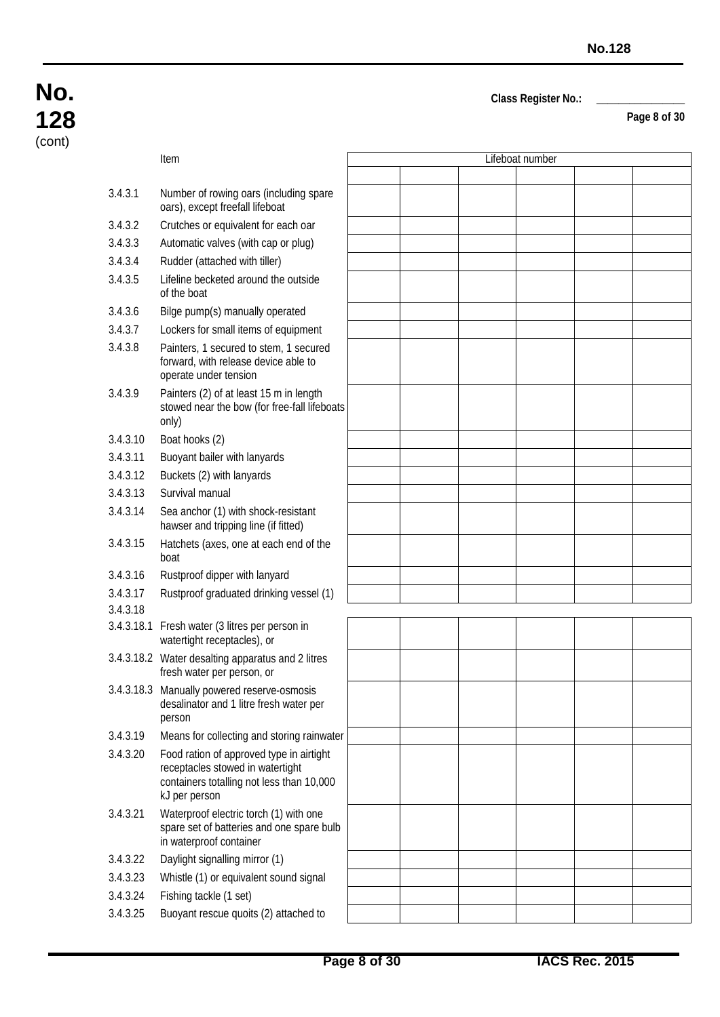**Page 8 of 30**

## **No. 128** (cont)

|            | Item                                                                                                                                       |  | Lifeboat number |  |
|------------|--------------------------------------------------------------------------------------------------------------------------------------------|--|-----------------|--|
|            |                                                                                                                                            |  |                 |  |
| 3.4.3.1    | Number of rowing oars (including spare<br>oars), except freefall lifeboat                                                                  |  |                 |  |
| 3.4.3.2    | Crutches or equivalent for each oar                                                                                                        |  |                 |  |
| 3.4.3.3    | Automatic valves (with cap or plug)                                                                                                        |  |                 |  |
| 3.4.3.4    | Rudder (attached with tiller)                                                                                                              |  |                 |  |
| 3.4.3.5    | Lifeline becketed around the outside<br>of the boat                                                                                        |  |                 |  |
| 3.4.3.6    | Bilge pump(s) manually operated                                                                                                            |  |                 |  |
| 3.4.3.7    | Lockers for small items of equipment                                                                                                       |  |                 |  |
| 3.4.3.8    | Painters, 1 secured to stem, 1 secured<br>forward, with release device able to<br>operate under tension                                    |  |                 |  |
| 3.4.3.9    | Painters (2) of at least 15 m in length<br>stowed near the bow (for free-fall lifeboats<br>only)                                           |  |                 |  |
| 3.4.3.10   | Boat hooks (2)                                                                                                                             |  |                 |  |
| 3.4.3.11   | Buoyant bailer with lanyards                                                                                                               |  |                 |  |
| 3.4.3.12   | Buckets (2) with lanyards                                                                                                                  |  |                 |  |
| 3.4.3.13   | Survival manual                                                                                                                            |  |                 |  |
| 3.4.3.14   | Sea anchor (1) with shock-resistant<br>hawser and tripping line (if fitted)                                                                |  |                 |  |
| 3.4.3.15   | Hatchets (axes, one at each end of the<br>boat                                                                                             |  |                 |  |
| 3.4.3.16   | Rustproof dipper with lanyard                                                                                                              |  |                 |  |
| 3.4.3.17   | Rustproof graduated drinking vessel (1)                                                                                                    |  |                 |  |
| 3.4.3.18   |                                                                                                                                            |  |                 |  |
| 3.4.3.18.1 | Fresh water (3 litres per person in<br>watertight receptacles), or                                                                         |  |                 |  |
|            | 3.4.3.18.2 Water desalting apparatus and 2 litres<br>fresh water per person, or                                                            |  |                 |  |
|            | 3.4.3.18.3 Manually powered reserve-osmosis<br>desalinator and 1 litre fresh water per<br>person                                           |  |                 |  |
| 3.4.3.19   | Means for collecting and storing rainwater                                                                                                 |  |                 |  |
| 3.4.3.20   | Food ration of approved type in airtight<br>receptacles stowed in watertight<br>containers totalling not less than 10,000<br>kJ per person |  |                 |  |
| 3.4.3.21   | Waterproof electric torch (1) with one<br>spare set of batteries and one spare bulb<br>in waterproof container                             |  |                 |  |
| 3.4.3.22   | Daylight signalling mirror (1)                                                                                                             |  |                 |  |
| 3.4.3.23   | Whistle (1) or equivalent sound signal                                                                                                     |  |                 |  |
| 3.4.3.24   | Fishing tackle (1 set)                                                                                                                     |  |                 |  |
| 3.4.3.25   | Buoyant rescue quoits (2) attached to                                                                                                      |  |                 |  |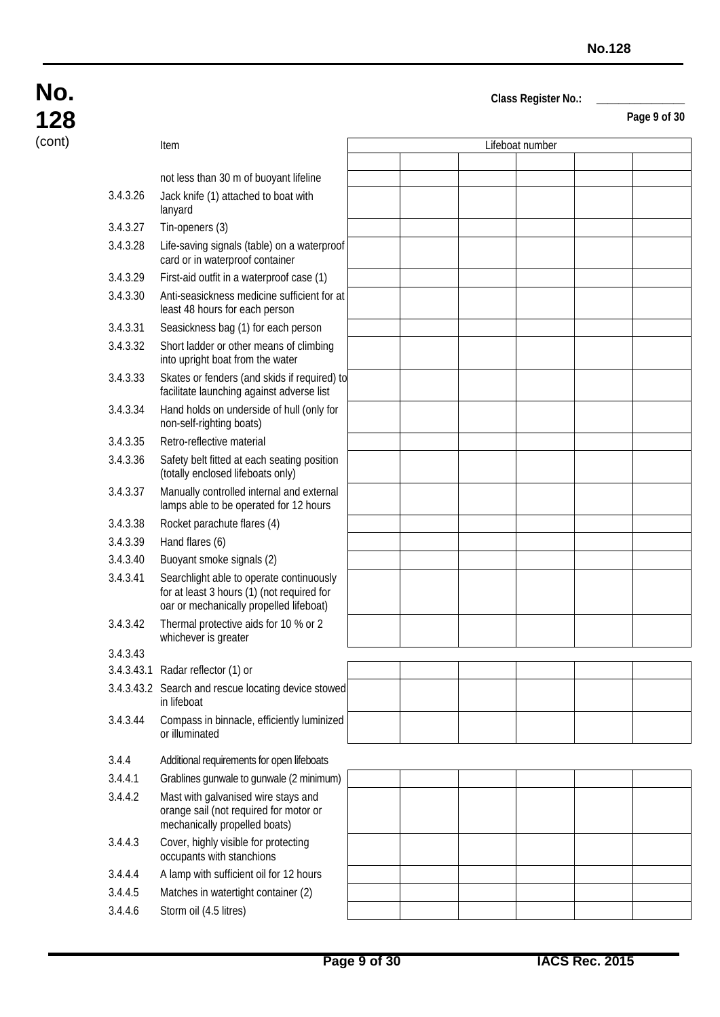**Page 9 of 30**

| (cont) |          | Item                                                                                                                              |  | Lifeboat number |  |
|--------|----------|-----------------------------------------------------------------------------------------------------------------------------------|--|-----------------|--|
|        |          |                                                                                                                                   |  |                 |  |
|        |          | not less than 30 m of buoyant lifeline                                                                                            |  |                 |  |
|        | 3.4.3.26 | Jack knife (1) attached to boat with<br>lanyard                                                                                   |  |                 |  |
|        | 3.4.3.27 | Tin-openers (3)                                                                                                                   |  |                 |  |
|        | 3.4.3.28 | Life-saving signals (table) on a waterproof<br>card or in waterproof container                                                    |  |                 |  |
|        | 3.4.3.29 | First-aid outfit in a waterproof case (1)                                                                                         |  |                 |  |
|        | 3.4.3.30 | Anti-seasickness medicine sufficient for at<br>least 48 hours for each person                                                     |  |                 |  |
|        | 3.4.3.31 | Seasickness bag (1) for each person                                                                                               |  |                 |  |
|        | 3.4.3.32 | Short ladder or other means of climbing<br>into upright boat from the water                                                       |  |                 |  |
|        | 3.4.3.33 | Skates or fenders (and skids if required) to<br>facilitate launching against adverse list                                         |  |                 |  |
|        | 3.4.3.34 | Hand holds on underside of hull (only for<br>non-self-righting boats)                                                             |  |                 |  |
|        | 3.4.3.35 | Retro-reflective material                                                                                                         |  |                 |  |
|        | 3.4.3.36 | Safety belt fitted at each seating position<br>(totally enclosed lifeboats only)                                                  |  |                 |  |
|        | 3.4.3.37 | Manually controlled internal and external<br>lamps able to be operated for 12 hours                                               |  |                 |  |
|        | 3.4.3.38 | Rocket parachute flares (4)                                                                                                       |  |                 |  |
|        | 3.4.3.39 | Hand flares (6)                                                                                                                   |  |                 |  |
|        | 3.4.3.40 | Buoyant smoke signals (2)                                                                                                         |  |                 |  |
|        | 3.4.3.41 | Searchlight able to operate continuously<br>for at least 3 hours (1) (not required for<br>oar or mechanically propelled lifeboat) |  |                 |  |
|        | 3.4.3.42 | Thermal protective aids for 10 % or 2<br>whichever is greater                                                                     |  |                 |  |
|        | 3.4.3.43 |                                                                                                                                   |  |                 |  |
|        |          | 3.4.3.43.1 Radar reflector (1) or                                                                                                 |  |                 |  |
|        |          | 3.4.3.43.2 Search and rescue locating device stowed<br>in lifeboat                                                                |  |                 |  |
|        | 3.4.3.44 | Compass in binnacle, efficiently luminized<br>or illuminated                                                                      |  |                 |  |
|        | 3.4.4    | Additional requirements for open lifeboats                                                                                        |  |                 |  |
|        | 3.4.4.1  | Grablines gunwale to gunwale (2 minimum)                                                                                          |  |                 |  |
|        | 3.4.4.2  | Mast with galvanised wire stays and<br>orange sail (not required for motor or<br>mechanically propelled boats)                    |  |                 |  |
|        | 3.4.4.3  | Cover, highly visible for protecting<br>occupants with stanchions                                                                 |  |                 |  |
|        | 3.4.4.4  | A lamp with sufficient oil for 12 hours                                                                                           |  |                 |  |
|        | 3.4.4.5  | Matches in watertight container (2)                                                                                               |  |                 |  |
|        | 3.4.4.6  | Storm oil (4.5 litres)                                                                                                            |  |                 |  |
|        |          |                                                                                                                                   |  |                 |  |

**No.**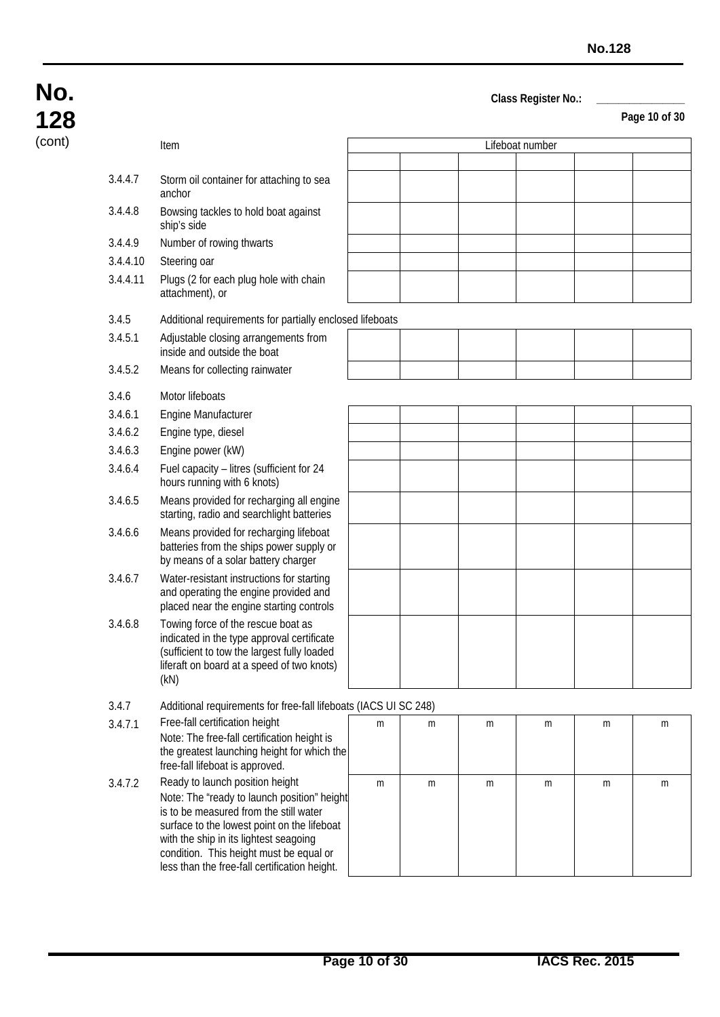| No.    |
|--------|
| 128    |
| (cont) |

| (cont)<br>Lifeboat number<br>Item<br>3.4.4.7<br>Storm oil container for attaching to sea<br>anchor<br>Bowsing tackles to hold boat against<br>3.4.4.8<br>ship's side<br>Number of rowing thwarts<br>3.4.4.9<br>3.4.4.10<br>Steering oar<br>3.4.4.11<br>Plugs (2 for each plug hole with chain<br>attachment), or<br>3.4.5<br>Additional requirements for partially enclosed lifeboats<br>Adjustable closing arrangements from<br>3.4.5.1<br>inside and outside the boat<br>3.4.5.2<br>Means for collecting rainwater<br>3.4.6<br>Motor lifeboats<br>3.4.6.1<br>Engine Manufacturer<br>3.4.6.2<br>Engine type, diesel<br>3.4.6.3<br>Engine power (kW)<br>Fuel capacity - litres (sufficient for 24<br>3.4.6.4<br>hours running with 6 knots)<br>3.4.6.5<br>Means provided for recharging all engine<br>starting, radio and searchlight batteries<br>Means provided for recharging lifeboat<br>3.4.6.6<br>batteries from the ships power supply or<br>by means of a solar battery charger<br>3.4.6.7<br>Water-resistant instructions for starting<br>and operating the engine provided and<br>placed near the engine starting controls<br>Towing force of the rescue boat as<br>3.4.6.8<br>indicated in the type approval certificate<br>(sufficient to tow the largest fully loaded<br>liferaft on board at a speed of two knots)<br>(kN)<br>3.4.7<br>Additional requirements for free-fall lifeboats (IACS UI SC 248)<br>Free-fall certification height<br>3.4.7.1<br>m<br>m<br>m<br>m<br>m<br>m<br>Note: The free-fall certification height is<br>the greatest launching height for which the<br>free-fall lifeboat is approved.<br>Ready to launch position height<br>3.4.7.2<br>m<br>m<br>m<br>m<br>m<br>m<br>Note: The "ready to launch position" height<br>is to be measured from the still water<br>surface to the lowest point on the lifeboat<br>with the ship in its lightest seagoing<br>condition. This height must be equal or<br>less than the free-fall certification height. | I LO |  |  |  |  |
|---------------------------------------------------------------------------------------------------------------------------------------------------------------------------------------------------------------------------------------------------------------------------------------------------------------------------------------------------------------------------------------------------------------------------------------------------------------------------------------------------------------------------------------------------------------------------------------------------------------------------------------------------------------------------------------------------------------------------------------------------------------------------------------------------------------------------------------------------------------------------------------------------------------------------------------------------------------------------------------------------------------------------------------------------------------------------------------------------------------------------------------------------------------------------------------------------------------------------------------------------------------------------------------------------------------------------------------------------------------------------------------------------------------------------------------------------------------------------------------------------------------------------------------------------------------------------------------------------------------------------------------------------------------------------------------------------------------------------------------------------------------------------------------------------------------------------------------------------------------------------------------------------------------------------------------------------------------------------------------------|------|--|--|--|--|
|                                                                                                                                                                                                                                                                                                                                                                                                                                                                                                                                                                                                                                                                                                                                                                                                                                                                                                                                                                                                                                                                                                                                                                                                                                                                                                                                                                                                                                                                                                                                                                                                                                                                                                                                                                                                                                                                                                                                                                                             |      |  |  |  |  |
|                                                                                                                                                                                                                                                                                                                                                                                                                                                                                                                                                                                                                                                                                                                                                                                                                                                                                                                                                                                                                                                                                                                                                                                                                                                                                                                                                                                                                                                                                                                                                                                                                                                                                                                                                                                                                                                                                                                                                                                             |      |  |  |  |  |
|                                                                                                                                                                                                                                                                                                                                                                                                                                                                                                                                                                                                                                                                                                                                                                                                                                                                                                                                                                                                                                                                                                                                                                                                                                                                                                                                                                                                                                                                                                                                                                                                                                                                                                                                                                                                                                                                                                                                                                                             |      |  |  |  |  |
|                                                                                                                                                                                                                                                                                                                                                                                                                                                                                                                                                                                                                                                                                                                                                                                                                                                                                                                                                                                                                                                                                                                                                                                                                                                                                                                                                                                                                                                                                                                                                                                                                                                                                                                                                                                                                                                                                                                                                                                             |      |  |  |  |  |
|                                                                                                                                                                                                                                                                                                                                                                                                                                                                                                                                                                                                                                                                                                                                                                                                                                                                                                                                                                                                                                                                                                                                                                                                                                                                                                                                                                                                                                                                                                                                                                                                                                                                                                                                                                                                                                                                                                                                                                                             |      |  |  |  |  |
|                                                                                                                                                                                                                                                                                                                                                                                                                                                                                                                                                                                                                                                                                                                                                                                                                                                                                                                                                                                                                                                                                                                                                                                                                                                                                                                                                                                                                                                                                                                                                                                                                                                                                                                                                                                                                                                                                                                                                                                             |      |  |  |  |  |
|                                                                                                                                                                                                                                                                                                                                                                                                                                                                                                                                                                                                                                                                                                                                                                                                                                                                                                                                                                                                                                                                                                                                                                                                                                                                                                                                                                                                                                                                                                                                                                                                                                                                                                                                                                                                                                                                                                                                                                                             |      |  |  |  |  |
|                                                                                                                                                                                                                                                                                                                                                                                                                                                                                                                                                                                                                                                                                                                                                                                                                                                                                                                                                                                                                                                                                                                                                                                                                                                                                                                                                                                                                                                                                                                                                                                                                                                                                                                                                                                                                                                                                                                                                                                             |      |  |  |  |  |
|                                                                                                                                                                                                                                                                                                                                                                                                                                                                                                                                                                                                                                                                                                                                                                                                                                                                                                                                                                                                                                                                                                                                                                                                                                                                                                                                                                                                                                                                                                                                                                                                                                                                                                                                                                                                                                                                                                                                                                                             |      |  |  |  |  |
|                                                                                                                                                                                                                                                                                                                                                                                                                                                                                                                                                                                                                                                                                                                                                                                                                                                                                                                                                                                                                                                                                                                                                                                                                                                                                                                                                                                                                                                                                                                                                                                                                                                                                                                                                                                                                                                                                                                                                                                             |      |  |  |  |  |
|                                                                                                                                                                                                                                                                                                                                                                                                                                                                                                                                                                                                                                                                                                                                                                                                                                                                                                                                                                                                                                                                                                                                                                                                                                                                                                                                                                                                                                                                                                                                                                                                                                                                                                                                                                                                                                                                                                                                                                                             |      |  |  |  |  |
|                                                                                                                                                                                                                                                                                                                                                                                                                                                                                                                                                                                                                                                                                                                                                                                                                                                                                                                                                                                                                                                                                                                                                                                                                                                                                                                                                                                                                                                                                                                                                                                                                                                                                                                                                                                                                                                                                                                                                                                             |      |  |  |  |  |
|                                                                                                                                                                                                                                                                                                                                                                                                                                                                                                                                                                                                                                                                                                                                                                                                                                                                                                                                                                                                                                                                                                                                                                                                                                                                                                                                                                                                                                                                                                                                                                                                                                                                                                                                                                                                                                                                                                                                                                                             |      |  |  |  |  |
|                                                                                                                                                                                                                                                                                                                                                                                                                                                                                                                                                                                                                                                                                                                                                                                                                                                                                                                                                                                                                                                                                                                                                                                                                                                                                                                                                                                                                                                                                                                                                                                                                                                                                                                                                                                                                                                                                                                                                                                             |      |  |  |  |  |
|                                                                                                                                                                                                                                                                                                                                                                                                                                                                                                                                                                                                                                                                                                                                                                                                                                                                                                                                                                                                                                                                                                                                                                                                                                                                                                                                                                                                                                                                                                                                                                                                                                                                                                                                                                                                                                                                                                                                                                                             |      |  |  |  |  |
|                                                                                                                                                                                                                                                                                                                                                                                                                                                                                                                                                                                                                                                                                                                                                                                                                                                                                                                                                                                                                                                                                                                                                                                                                                                                                                                                                                                                                                                                                                                                                                                                                                                                                                                                                                                                                                                                                                                                                                                             |      |  |  |  |  |
|                                                                                                                                                                                                                                                                                                                                                                                                                                                                                                                                                                                                                                                                                                                                                                                                                                                                                                                                                                                                                                                                                                                                                                                                                                                                                                                                                                                                                                                                                                                                                                                                                                                                                                                                                                                                                                                                                                                                                                                             |      |  |  |  |  |
|                                                                                                                                                                                                                                                                                                                                                                                                                                                                                                                                                                                                                                                                                                                                                                                                                                                                                                                                                                                                                                                                                                                                                                                                                                                                                                                                                                                                                                                                                                                                                                                                                                                                                                                                                                                                                                                                                                                                                                                             |      |  |  |  |  |
|                                                                                                                                                                                                                                                                                                                                                                                                                                                                                                                                                                                                                                                                                                                                                                                                                                                                                                                                                                                                                                                                                                                                                                                                                                                                                                                                                                                                                                                                                                                                                                                                                                                                                                                                                                                                                                                                                                                                                                                             |      |  |  |  |  |
|                                                                                                                                                                                                                                                                                                                                                                                                                                                                                                                                                                                                                                                                                                                                                                                                                                                                                                                                                                                                                                                                                                                                                                                                                                                                                                                                                                                                                                                                                                                                                                                                                                                                                                                                                                                                                                                                                                                                                                                             |      |  |  |  |  |
|                                                                                                                                                                                                                                                                                                                                                                                                                                                                                                                                                                                                                                                                                                                                                                                                                                                                                                                                                                                                                                                                                                                                                                                                                                                                                                                                                                                                                                                                                                                                                                                                                                                                                                                                                                                                                                                                                                                                                                                             |      |  |  |  |  |
|                                                                                                                                                                                                                                                                                                                                                                                                                                                                                                                                                                                                                                                                                                                                                                                                                                                                                                                                                                                                                                                                                                                                                                                                                                                                                                                                                                                                                                                                                                                                                                                                                                                                                                                                                                                                                                                                                                                                                                                             |      |  |  |  |  |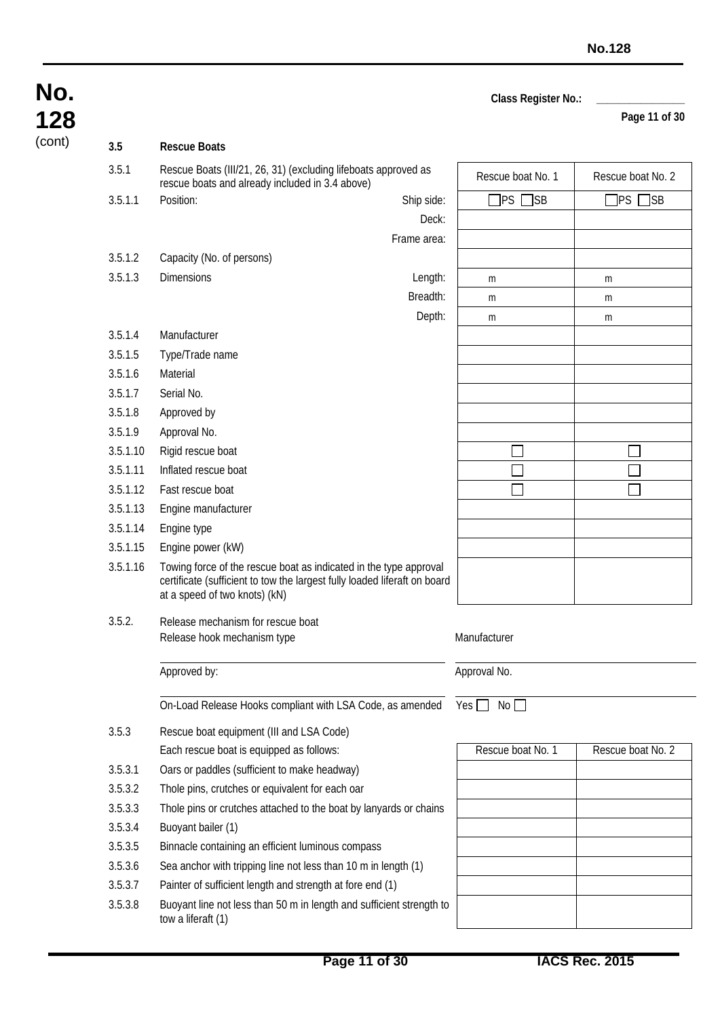Breadth: m m m Depth: m m m m

 $\Box$ 

 $\Box$ 

Deck: Frame area: **Page 11 of 30**

 $\Box$ П

П

## **No. 128** (cont) **3.5 Rescue Boats** 3.5.1 Rescue Boats (III/21, 26, 31) (excluding lifeboats approved as rescue boats (iii/21, 20, 31) (excluding lifeboats approved as<br>rescue boat No. 1 Rescue boat No. 2 3.5.1.1 Position: Ship side: | PS SB PS PS SB PS SB 3.5.1.2 Capacity (No. of persons) 3.5.1.3 Dimensions Length: m m 3.5.1.4 Manufacturer 3.5.1.5 Type/Trade name 3.5.1.6 Material 3.5.1.7 Serial No. 3.5.1.8 Approved by 3.5.1.9 Approval No. 3.5.1.10 Rigid rescue boat 3.5.1.11 Inflated rescue boat 3.5.1.12 Fast rescue boat 3.5.1.13 Engine manufacturer 3.5.1.14 Engine type 3.5.1.15 Engine power (kW) 3.5.1.16 Towing force of the rescue boat as indicated in the type approval<br>
costitionts (outfloight to tour the largest fully loaded lifered an board

|        | certificate (sufficient to tow the largest fully loaded liferaft on board<br>at a speed of two knots) (kN) |                   |                   |
|--------|------------------------------------------------------------------------------------------------------------|-------------------|-------------------|
| 3.5.2. | Release mechanism for rescue boat                                                                          |                   |                   |
|        | Release hook mechanism type                                                                                | Manufacturer      |                   |
|        | Approved by:                                                                                               | Approval No.      |                   |
|        | On-Load Release Hooks compliant with LSA Code, as amended                                                  | No II<br>Yes I    |                   |
| 3.5.3  | Rescue boat equipment (III and LSA Code)                                                                   |                   |                   |
|        | Each rescue boat is equipped as follows:                                                                   | Rescue boat No. 1 | Rescue boat No. 2 |

|         | Each rescue boat is equipped as follows:                                                   | Rescue boat No. 1 | R |
|---------|--------------------------------------------------------------------------------------------|-------------------|---|
| 3.5.3.1 | Oars or paddles (sufficient to make headway)                                               |                   |   |
| 3.5.3.2 | Thole pins, crutches or equivalent for each oar                                            |                   |   |
| 3.5.3.3 | Thole pins or crutches attached to the boat by lanyards or chains                          |                   |   |
| 3.5.3.4 | Buoyant bailer (1)                                                                         |                   |   |
| 3.5.3.5 | Binnacle containing an efficient luminous compass                                          |                   |   |
| 3.5.3.6 | Sea anchor with tripping line not less than 10 m in length (1)                             |                   |   |
| 3.5.3.7 | Painter of sufficient length and strength at fore end (1)                                  |                   |   |
| 3.5.3.8 | Buoyant line not less than 50 m in length and sufficient strength to<br>tow a liferaft (1) |                   |   |
|         |                                                                                            |                   |   |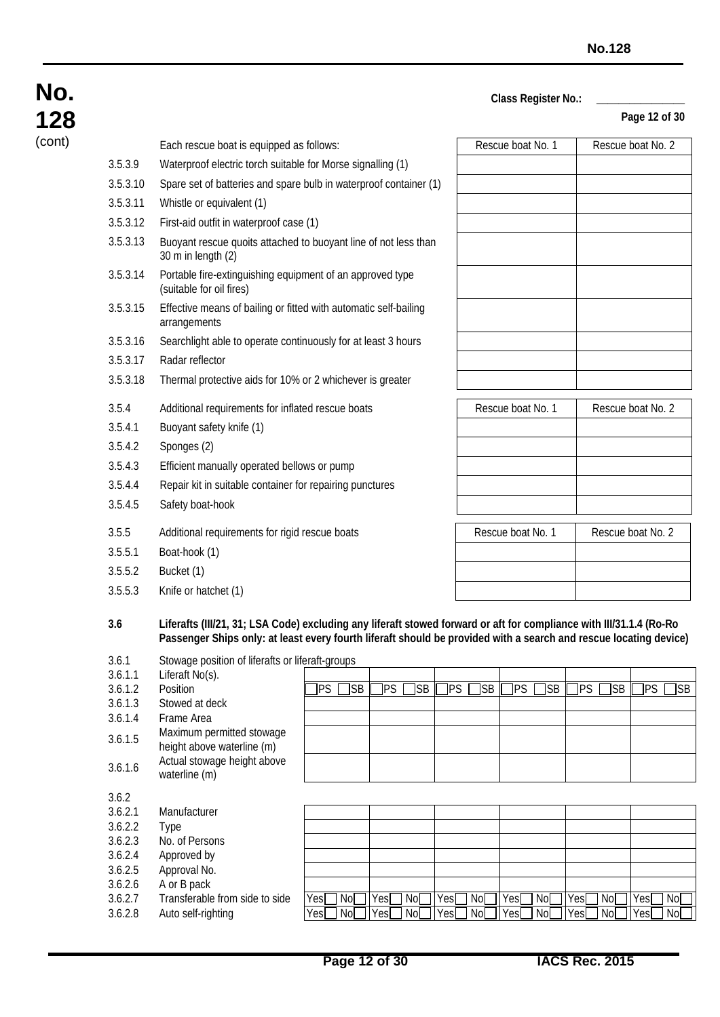**Page 12 of 30**

|                    |                                                                                                                                                                                                                                        |                        |                        |    |                                        |                   |    |           | Page 12 of 3      |
|--------------------|----------------------------------------------------------------------------------------------------------------------------------------------------------------------------------------------------------------------------------------|------------------------|------------------------|----|----------------------------------------|-------------------|----|-----------|-------------------|
|                    | Each rescue boat is equipped as follows:                                                                                                                                                                                               |                        |                        |    |                                        | Rescue boat No. 1 |    |           | Rescue boat No. 2 |
| 3.5.3.9            | Waterproof electric torch suitable for Morse signalling (1)                                                                                                                                                                            |                        |                        |    |                                        |                   |    |           |                   |
| 3.5.3.10           | Spare set of batteries and spare bulb in waterproof container (1)                                                                                                                                                                      |                        |                        |    |                                        |                   |    |           |                   |
| 3.5.3.11           | Whistle or equivalent (1)                                                                                                                                                                                                              |                        |                        |    |                                        |                   |    |           |                   |
| 3.5.3.12           | First-aid outfit in waterproof case (1)                                                                                                                                                                                                |                        |                        |    |                                        |                   |    |           |                   |
| 3.5.3.13           | Buoyant rescue quoits attached to buoyant line of not less than                                                                                                                                                                        |                        |                        |    |                                        |                   |    |           |                   |
|                    | 30 m in length (2)                                                                                                                                                                                                                     |                        |                        |    |                                        |                   |    |           |                   |
| 3.5.3.14           | Portable fire-extinguishing equipment of an approved type<br>(suitable for oil fires)                                                                                                                                                  |                        |                        |    |                                        |                   |    |           |                   |
| 3.5.3.15           | Effective means of bailing or fitted with automatic self-bailing<br>arrangements                                                                                                                                                       |                        |                        |    |                                        |                   |    |           |                   |
| 3.5.3.16           | Searchlight able to operate continuously for at least 3 hours                                                                                                                                                                          |                        |                        |    |                                        |                   |    |           |                   |
| 3.5.3.17           | Radar reflector                                                                                                                                                                                                                        |                        |                        |    |                                        |                   |    |           |                   |
| 3.5.3.18           | Thermal protective aids for 10% or 2 whichever is greater                                                                                                                                                                              |                        |                        |    |                                        |                   |    |           |                   |
| 3.5.4              | Additional requirements for inflated rescue boats                                                                                                                                                                                      |                        |                        |    |                                        | Rescue boat No. 1 |    |           | Rescue boat No. 2 |
| 3.5.4.1            | Buoyant safety knife (1)                                                                                                                                                                                                               |                        |                        |    |                                        |                   |    |           |                   |
| 3.5.4.2            | Sponges (2)                                                                                                                                                                                                                            |                        |                        |    |                                        |                   |    |           |                   |
| 3.5.4.3            | Efficient manually operated bellows or pump                                                                                                                                                                                            |                        |                        |    |                                        |                   |    |           |                   |
| 3.5.4.4            | Repair kit in suitable container for repairing punctures                                                                                                                                                                               |                        |                        |    |                                        |                   |    |           |                   |
| 3.5.4.5            |                                                                                                                                                                                                                                        |                        |                        |    |                                        |                   |    |           |                   |
|                    | Safety boat-hook                                                                                                                                                                                                                       |                        |                        |    |                                        |                   |    |           |                   |
| 3.5.5              | Additional requirements for rigid rescue boats                                                                                                                                                                                         |                        |                        |    | Rescue boat No. 2<br>Rescue boat No. 1 |                   |    |           |                   |
| 3.5.5.1            | Boat-hook (1)                                                                                                                                                                                                                          |                        |                        |    |                                        |                   |    |           |                   |
| 3.5.5.2            | Bucket (1)                                                                                                                                                                                                                             |                        |                        |    |                                        |                   |    |           |                   |
| 3.5.5.3            | Knife or hatchet (1)                                                                                                                                                                                                                   |                        |                        |    |                                        |                   |    |           |                   |
|                    |                                                                                                                                                                                                                                        |                        |                        |    |                                        |                   |    |           |                   |
| 3.6                | Liferafts (III/21, 31; LSA Code) excluding any liferaft stowed forward or aft for compliance with III/31.1.4 (Ro-Ro<br>Passenger Ships only: at least every fourth liferaft should be provided with a search and rescue locating devid |                        |                        |    |                                        |                   |    |           |                   |
| 3.6.1              | Stowage position of liferafts or liferaft-groups                                                                                                                                                                                       |                        |                        |    |                                        |                   |    |           |                   |
| 3.6.1.1            | Liferaft No(s).                                                                                                                                                                                                                        |                        |                        |    |                                        |                   |    |           |                   |
| 3.6.1.2            | Position                                                                                                                                                                                                                               | <b>PS</b><br><b>SB</b> | <b>PS</b><br><b>SB</b> | PS | <b>SB</b>                              | PS<br><b>SB</b>   | PS | <b>SB</b> | PS                |
| 3.6.1.3<br>3.6.1.4 | Stowed at deck<br>Frame Area                                                                                                                                                                                                           |                        |                        |    |                                        |                   |    |           |                   |
|                    | Maximum permitted stowage                                                                                                                                                                                                              |                        |                        |    |                                        |                   |    |           |                   |
| 3.6.1.5            | height above waterline (m)                                                                                                                                                                                                             |                        |                        |    |                                        |                   |    |           |                   |
| 3.6.1.6            | Actual stowage height above<br>waterline (m)                                                                                                                                                                                           |                        |                        |    |                                        |                   |    |           |                   |
| 3.6.2              |                                                                                                                                                                                                                                        |                        |                        |    |                                        |                   |    |           |                   |
| 3.6.2.1            | Manufacturer                                                                                                                                                                                                                           |                        |                        |    |                                        |                   |    |           |                   |
| 3.6.2.2<br>3.6.2.3 | Type<br>No. of Persons                                                                                                                                                                                                                 |                        |                        |    |                                        |                   |    |           |                   |
| 3.6.2.4            | Approved by                                                                                                                                                                                                                            |                        |                        |    |                                        |                   |    |           |                   |
| 3.6.2.5            | Approval No.                                                                                                                                                                                                                           |                        |                        |    |                                        |                   |    |           |                   |
| 3626               | A or R pack                                                                                                                                                                                                                            |                        |                        |    |                                        |                   |    |           |                   |

**No.**

**128**

| Rescue boat No. 1 | Rescue boat No. 2 |
|-------------------|-------------------|
|                   |                   |
|                   |                   |
|                   |                   |
|                   |                   |
|                   |                   |
|                   |                   |
| Rescue boat No. 1 | Rescue boat No. 2 |
|                   |                   |
|                   |                   |

| 3.6.1.1 | Liferaft No(s).                                         |                   |                        |             |                 |                  |                         |
|---------|---------------------------------------------------------|-------------------|------------------------|-------------|-----------------|------------------|-------------------------|
| 3.6.1.2 | <b>Position</b>                                         | <b>SB</b><br>IPS. | <b>PS</b><br><b>SB</b> | 1PS<br>]SB  | <b>SB</b><br>PS | <b>SB</b><br> PS | ]SB<br> PS              |
| 3.6.1.3 | Stowed at deck                                          |                   |                        |             |                 |                  |                         |
| 3.6.1.4 | Frame Area                                              |                   |                        |             |                 |                  |                         |
| 3.6.1.5 | Maximum permitted stowage<br>height above waterline (m) |                   |                        |             |                 |                  |                         |
| 3.6.1.6 | Actual stowage height above<br>waterline (m)            |                   |                        |             |                 |                  |                         |
| 3.6.2   |                                                         |                   |                        |             |                 |                  |                         |
| 3.6.2.1 | Manufacturer                                            |                   |                        |             |                 |                  |                         |
| 3.6.2.2 | Type                                                    |                   |                        |             |                 |                  |                         |
| 3.6.2.3 | No. of Persons                                          |                   |                        |             |                 |                  |                         |
| 3.6.2.4 | Approved by                                             |                   |                        |             |                 |                  |                         |
| 3.6.2.5 | Approval No.                                            |                   |                        |             |                 |                  |                         |
| 3.6.2.6 | A or B pack                                             |                   |                        |             |                 |                  |                         |
| 3.6.2.7 | Transferable from side to side                          | Nol<br>Yes        | Yes<br>No              | No[<br>Yesl | Yes<br>No.      | Yes<br>No        | Yes<br>No <sub>1</sub>  |
| 3.6.2.8 | Auto self-righting                                      | Nol<br>Yesl       | Yes<br>Nol             | Yes<br>No   | $ $ Yes<br>No.  | 7 Yes<br>No      | No <sub>1</sub><br>Yesl |
|         |                                                         |                   |                        |             |                 |                  |                         |
|         |                                                         |                   |                        |             |                 |                  |                         |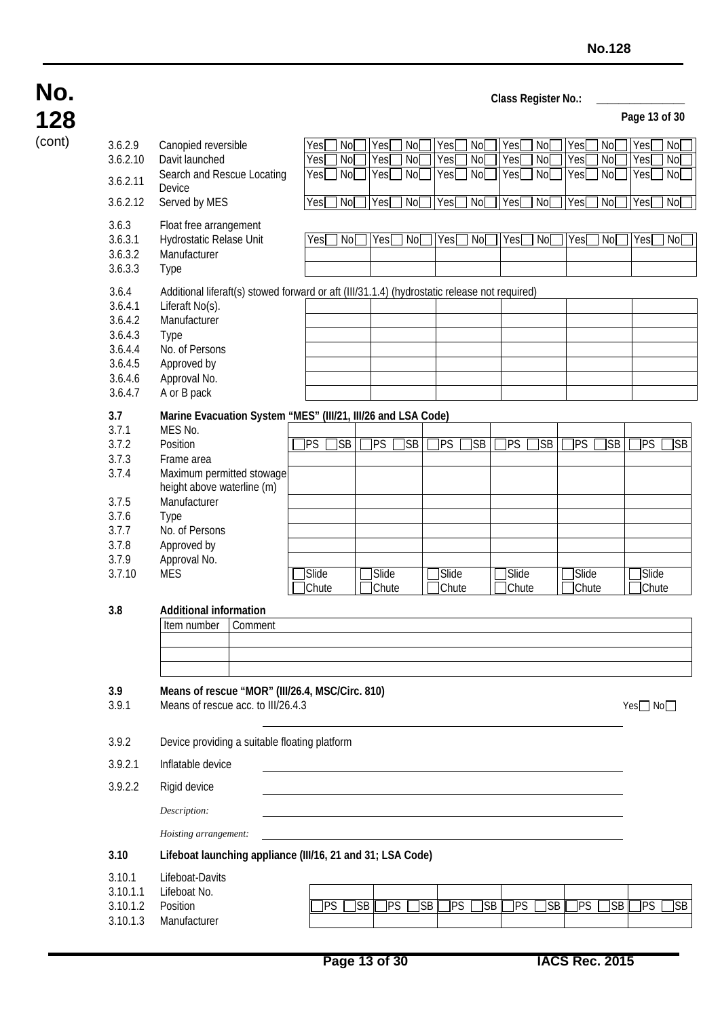| 128    |                                                                                    |                                                                                                                                                                                                         |                                            |                                       |                |                   |                            |                                     | uuss negistel nu           |                       |                                   | Page 13 of 30       |                            |
|--------|------------------------------------------------------------------------------------|---------------------------------------------------------------------------------------------------------------------------------------------------------------------------------------------------------|--------------------------------------------|---------------------------------------|----------------|-------------------|----------------------------|-------------------------------------|----------------------------|-----------------------|-----------------------------------|---------------------|----------------------------|
| (cont) | 3.6.2.9<br>3.6.2.10<br>3.6.2.11                                                    | Canopied reversible<br>Davit launched<br>Search and Rescue Locating<br>Device                                                                                                                           | <b>Yes</b><br>No<br>Yes<br>No<br>Yes<br>No | <b>Yes</b><br>Yes<br>Yes <sup>-</sup> | No<br>No<br>No | Yes<br>Yes<br>Yes | No<br>$\overline{N}$<br>No | Yes<br>Yes<br>Yes $\mathsf{\Gamma}$ | No<br>N <sub>o</sub><br>No | Yes<br>Yes<br>Yes[    | <b>No</b><br>N <sub>o</sub><br>No | Yes[<br>Yes<br>Yes[ | No<br>N <sub>o</sub><br>No |
|        | 3.6.2.12                                                                           | Served by MES                                                                                                                                                                                           | <b>Yes</b><br>No                           | Yes                                   | No             | Yes <sup>[</sup>  | No                         | Yes                                 | No[                        | Yes[                  | No                                | Yes[                | No <sub>1</sub>            |
|        | 3.6.3<br>3.6.3.1<br>3.6.3.2<br>3.6.3.3                                             | Float free arrangement<br>Hydrostatic Relase Unit<br>Manufacturer<br><b>Type</b>                                                                                                                        | Yes[<br>] No                               | Yes                                   | No[            | Yes               | No <sub>2</sub>            | $\overline{Y}$ es[                  | No[                        | Yes[                  | No[                               | Yes[                | No <sub>2</sub>            |
|        | 3.6.4<br>3.6.4.1<br>3.6.4.2<br>3.6.4.3<br>3.6.4.4<br>3.6.4.5<br>3.6.4.6<br>3.6.4.7 | Additional liferaft(s) stowed forward or aft (III/31.1.4) (hydrostatic release not required)<br>Liferaft No(s).<br>Manufacturer<br>Type<br>No. of Persons<br>Approved by<br>Approval No.<br>A or B pack |                                            |                                       |                |                   |                            |                                     |                            |                       |                                   |                     |                            |
|        | 3.7                                                                                | Marine Evacuation System "MES" (III/21, III/26 and LSA Code)                                                                                                                                            |                                            |                                       |                |                   |                            |                                     |                            |                       |                                   |                     |                            |
|        | 3.7.1<br>3.7.2<br>3.7.3<br>3.7.4                                                   | MES No.<br>Position<br>Frame area<br>Maximum permitted stowage                                                                                                                                          | JSB<br>PS.                                 | PS                                    | <b>SB</b>      | PS                | $\overline{\text{S}}$ B    | $\overline{\text{PS}}$              | ]SB                        | 1PS                   | <b>SB</b>                         | <b>TPS</b>          | ]SB                        |
|        | 3.7.5<br>3.7.6<br>3.7.7<br>3.7.8<br>3.7.9<br>3.7.10                                | height above waterline (m)<br>Manufacturer<br>Type<br>No. of Persons<br>Approved by<br>Approval No.<br><b>MES</b>                                                                                       | Slide<br>Chute                             | Slide<br><b>Chute</b>                 |                | Slide<br>Chute    |                            | Slide<br>Chute                      |                            | Slide<br><b>Chute</b> |                                   | Slide<br>Chute      |                            |
|        | 3.8                                                                                | <b>Additional information</b><br>Item number<br>Comment                                                                                                                                                 |                                            |                                       |                |                   |                            |                                     |                            |                       |                                   |                     |                            |
|        | 3.9<br>3.9.1                                                                       | Means of rescue "MOR" (III/26.4, MSC/Circ. 810)<br>Means of rescue acc. to III/26.4.3                                                                                                                   |                                            |                                       |                |                   |                            |                                     |                            |                       |                                   | Yes□No□             |                            |
|        | 3.9.2                                                                              | Device providing a suitable floating platform                                                                                                                                                           |                                            |                                       |                |                   |                            |                                     |                            |                       |                                   |                     |                            |
|        | 3.9.2.1                                                                            | Inflatable device                                                                                                                                                                                       |                                            |                                       |                |                   |                            |                                     |                            |                       |                                   |                     |                            |
|        | 3.9.2.2                                                                            | Rigid device                                                                                                                                                                                            |                                            |                                       |                |                   |                            |                                     |                            |                       |                                   |                     |                            |
|        |                                                                                    | Description:<br>Hoisting arrangement:                                                                                                                                                                   |                                            |                                       |                |                   |                            |                                     |                            |                       |                                   |                     |                            |
|        | 3.10                                                                               | Lifeboat launching appliance (III/16, 21 and 31; LSA Code)                                                                                                                                              |                                            |                                       |                |                   |                            |                                     |                            |                       |                                   |                     |                            |
|        | 3.10.1<br>3.10.1.1<br>3.10.1.2<br>3.10.1.3                                         | Lifeboat-Davits<br>Lifeboat No.<br>Position<br>Manufacturer                                                                                                                                             | <b>PS</b>                                  | ]PS<br><b>I</b> SB                    | ]SB            | ]PS               | ]SB                        | <b>PS</b>                           | ]SB                        | ]PS                   | SB I                              | ]PS                 | ]SB                        |

**No.**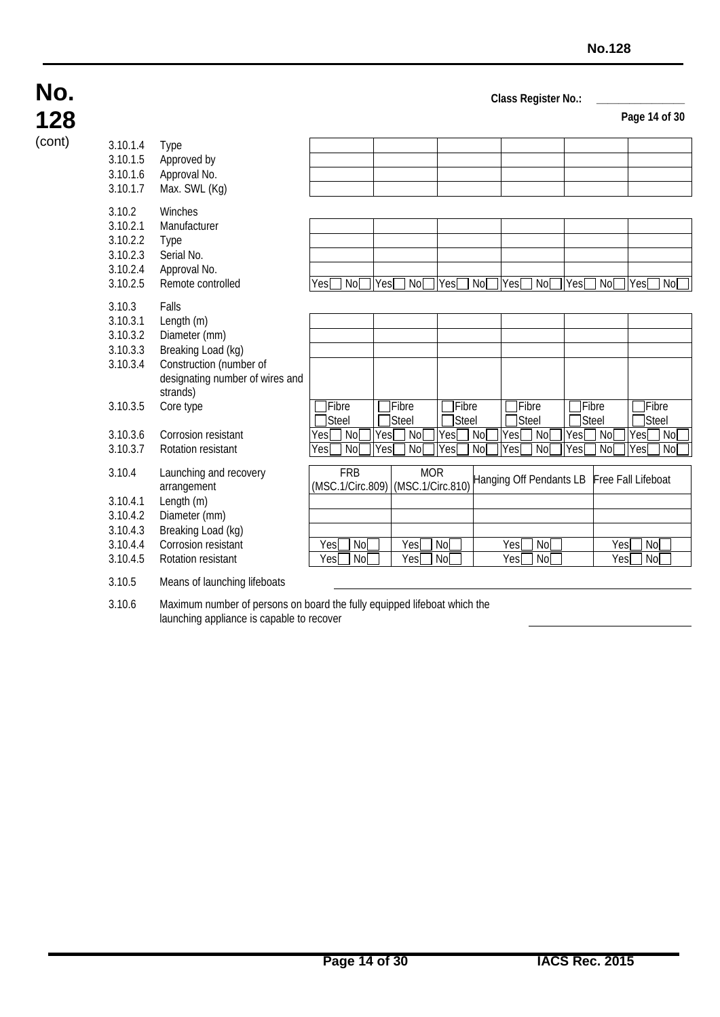**Page 14 of 30**

#### 3.10.1.4 Type 3.10.1.5 Approved by 3.10.1.6 Approval No. 3.10.1.7 Max. SWL (Kg) 3.10.2 Winches 3.10.2.1 Manufacturer 3.10.2.2 Type 3.10.2.3 Serial No. 3.10.2.4 Approval No. 3.10.2.5 Remote controlled Yes No Yes No Yes No Yes No Yes No Yes No Yes No Yes No 3.10.3 Falls 3.10.3.1 Length (m) 3.10.3.2 Diameter (mm) 3.10.3.3 Breaking Load (kg) Construction (number of designating number of wires and strands)  $3.10.3.5$  Core type Fibre Steel **T**Fibre Steel Fibre Steel **TFibre** Steel **TFibre Steel TFibre** Steel 3.10.3.6 Corrosion resistant Yes No Yes No Yes No Yes No Yes No Yes No Yes No Yes No Yes No Yes No Yes No Yes<br>
Yes No Yes No Yes No Yes No Yes No Yes No Yes No Yes No Yes No Yes No Yes No Yes No 3.10.3.7 Rotation resistant Yes No Yes No Yes No Yes No Yes No No Yes No No Yes No No No No No No No 3.10.4 Launching and recovery arrangement FRB (MSC.1/Circ.809) MOR<br>(MSC.1/Circ.810) Hanging Off Pendants LB Free Fall Lifeboat 3.10.4.1 Length (m) 3.10.4.2 Diameter (mm) 3.10.4.3 Breaking Load (kg) 3.10.4.4 Corrosion resistant | Yes No | Yes No | Yes No | Yes No | Yes No | Yes No | Yes No | 3.10.4.5 Rotation resistant Yes No Yes No Yes No Yes No 3.10.5 Means of launching lifeboats

3.10.6 Maximum number of persons on board the fully equipped lifeboat which the launching appliance is capable to recover

**No.**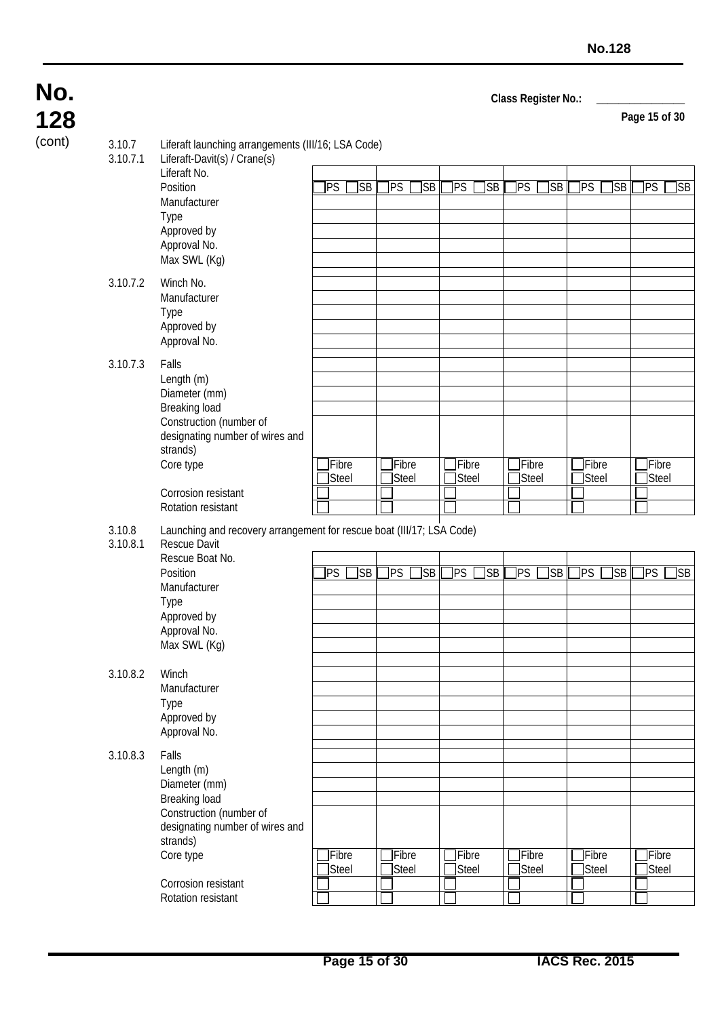**128**

**No.**

| 128    |                    |                                                                                                                                                                           |                          |                   |                        |                                |                               | Page 15 of 30    |
|--------|--------------------|---------------------------------------------------------------------------------------------------------------------------------------------------------------------------|--------------------------|-------------------|------------------------|--------------------------------|-------------------------------|------------------|
| (cont) | 3.10.7<br>3.10.7.1 | Liferaft launching arrangements (III/16; LSA Code)<br>Liferaft-Davit(s) / Crane(s)                                                                                        |                          |                   |                        |                                |                               |                  |
|        |                    | Liferaft No.<br>Position<br>Manufacturer<br>Type<br>Approved by<br>Approval No.<br>Max SWL (Kg)                                                                           | <b>PS</b><br><b>I</b> SB | SB <br><b>TPS</b> | PS<br><b>I</b> SB      | $\overline{\text{S}}$ B<br>PS] | PS<br>]SB                     | ]PS<br>]SB       |
|        | 3.10.7.2           | Winch No.<br>Manufacturer<br>Type<br>Approved by<br>Approval No.                                                                                                          |                          |                   |                        |                                |                               |                  |
|        | 3.10.7.3           | Falls<br>Length (m)<br>Diameter (mm)<br>Breaking load<br>Construction (number of<br>designating number of wires and<br>strands)<br>Core type<br>Corrosion resistant       | Fibre<br>Steel           | Fibre<br>Steel    | Fibre<br>Steel         | Fibre<br>Steel                 | Fibre<br>Steel                | Fibre<br>Steel   |
|        | 3.10.8<br>3.10.8.1 | Rotation resistant<br>Launching and recovery arrangement for rescue boat (III/17; LSA Code)<br><b>Rescue Davit</b><br>Rescue Boat No.<br>Position<br>Manufacturer<br>Type | <b>PS</b><br><b>SB</b>   | <b>TPS</b><br> SB | <b>TPS</b><br>]SB      | ]PS<br>]SB                     | PS<br>]SB                     | <b>PS</b><br>]SB |
|        |                    | Approved by<br>Approval No.<br>Max SWL (Kg)                                                                                                                               |                          |                   |                        |                                |                               |                  |
|        | 3.10.8.2           | Winch<br>Manufacturer<br>Type<br>Approved by<br>Approval No.                                                                                                              |                          |                   |                        |                                |                               |                  |
|        | 3.10.8.3           | Falls<br>Length (m)<br>Diameter (mm)<br>Breaking load<br>Construction (number of<br>designating number of wires and<br>strands)<br>Core type<br>Corrosion resistant       | <b>TFibre</b><br>Steel   | Fibre<br>Steel    | <b>TFibre</b><br>Steel | Fibre<br><b>Steel</b>          | <b>TFibre</b><br><b>Steel</b> | Fibre<br>Steel   |
|        |                    | Rotation resistant                                                                                                                                                        |                          |                   |                        |                                |                               |                  |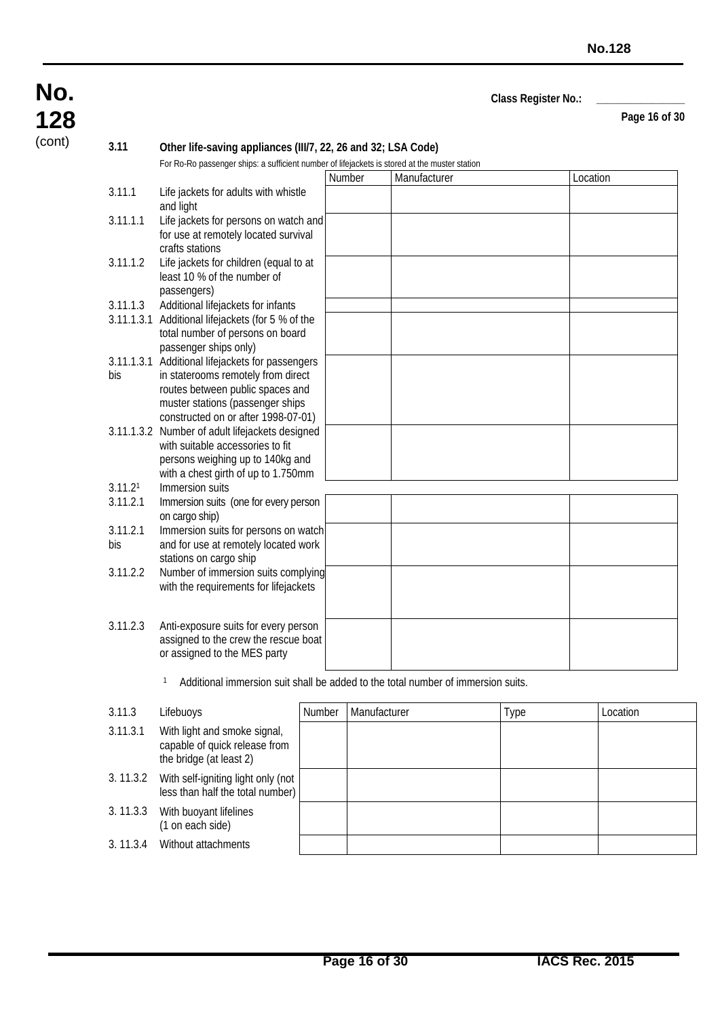**Page 16 of 30**

(cont) **3.11 Other life-saving appliances (III/7, 22, 26 and 32; LSA Code)**

| Life jackets for adults with whistle                                                                                                                           | Number                                                                                                                                       | Manufacturer | Location |
|----------------------------------------------------------------------------------------------------------------------------------------------------------------|----------------------------------------------------------------------------------------------------------------------------------------------|--------------|----------|
|                                                                                                                                                                |                                                                                                                                              |              |          |
| and light                                                                                                                                                      |                                                                                                                                              |              |          |
| for use at remotely located survival<br>crafts stations                                                                                                        |                                                                                                                                              |              |          |
| Life jackets for children (equal to at<br>least 10 % of the number of<br>passengers)                                                                           |                                                                                                                                              |              |          |
| Additional lifejackets for infants                                                                                                                             |                                                                                                                                              |              |          |
| Additional lifejackets (for 5 % of the<br>total number of persons on board                                                                                     |                                                                                                                                              |              |          |
| 3.11.1.3.1 Additional lifejackets for passengers<br>in staterooms remotely from direct<br>routes between public spaces and<br>muster stations (passenger ships |                                                                                                                                              |              |          |
| 3.11.1.3.2 Number of adult lifejackets designed<br>with suitable accessories to fit<br>persons weighing up to 140kg and                                        |                                                                                                                                              |              |          |
| Immersion suits                                                                                                                                                |                                                                                                                                              |              |          |
| Immersion suits (one for every person<br>on cargo ship)                                                                                                        |                                                                                                                                              |              |          |
| Immersion suits for persons on watch<br>and for use at remotely located work<br>stations on cargo ship                                                         |                                                                                                                                              |              |          |
| Number of immersion suits complying<br>with the requirements for lifejackets                                                                                   |                                                                                                                                              |              |          |
| Anti-exposure suits for every person<br>assigned to the crew the rescue boat<br>or assigned to the MES party                                                   |                                                                                                                                              |              |          |
|                                                                                                                                                                | Life jackets for persons on watch and<br>passenger ships only)<br>constructed on or after 1998-07-01)<br>with a chest girth of up to 1.750mm |              |          |

1 Additional immersion suit shall be added to the total number of immersion suits.

| 3.11.3   | Lifebuoys                                                                                | Number | Manufacturer | Type | Location |
|----------|------------------------------------------------------------------------------------------|--------|--------------|------|----------|
| 3.11.3.1 | With light and smoke signal,<br>capable of quick release from<br>the bridge (at least 2) |        |              |      |          |
| 3.11.3.2 | With self-igniting light only (not<br>less than half the total number)                   |        |              |      |          |
| 3.11.3.3 | With buoyant lifelines<br>(1 on each side)                                               |        |              |      |          |
| 3.11.3.4 | Without attachments                                                                      |        |              |      |          |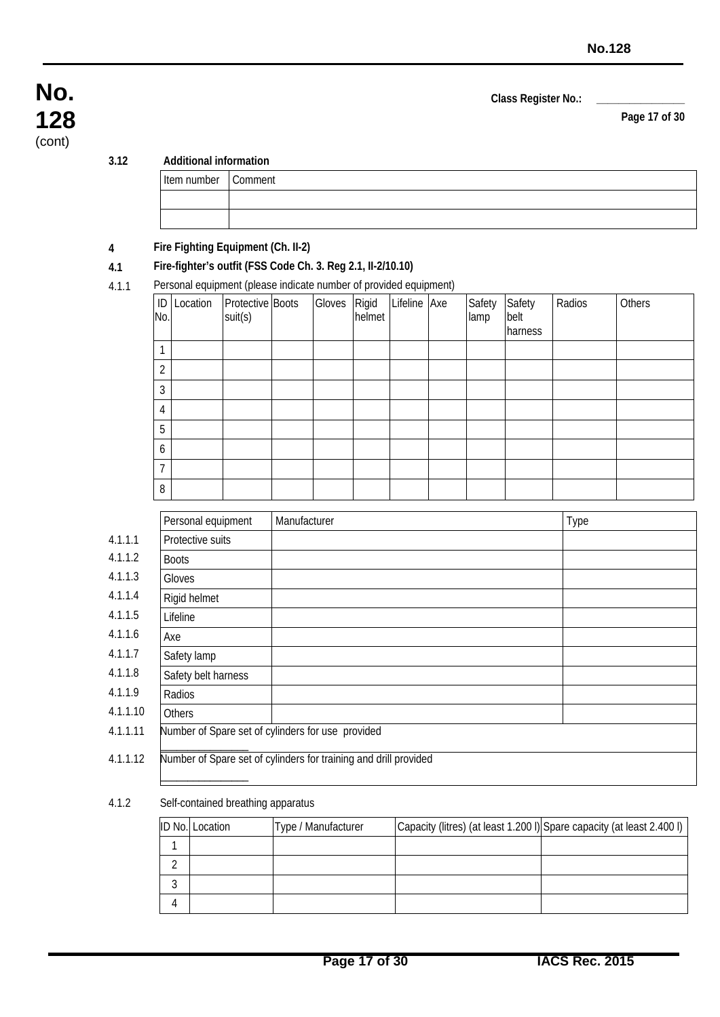**Page 17 of 30**

#### **3.12 Additional information**

| ۰.<br>I |  |
|---------|--|
|         |  |
|         |  |

**No.**

**128** (cont)

| Item number   Comment |  |
|-----------------------|--|
|                       |  |

#### **4 Fire Fighting Equipment (Ch. II-2)**

#### **4.1 Fire-fighter's outfit (FSS Code Ch. 3. Reg 2.1, II-2/10.10)**

4.1.1 Personal equipment (please indicate number of provided equipment)

| No.              | .<br><b>ID</b> Location | Protective Boots<br>suit(s) | Gloves Rigid<br>helmet | .<br>Lifeline Axe | Safety<br>lamp | Safety<br>belt<br>harness | Radios | Others |
|------------------|-------------------------|-----------------------------|------------------------|-------------------|----------------|---------------------------|--------|--------|
| $\mathbf{1}$     |                         |                             |                        |                   |                |                           |        |        |
| $\overline{2}$   |                         |                             |                        |                   |                |                           |        |        |
| $\overline{3}$   |                         |                             |                        |                   |                |                           |        |        |
| $\overline{4}$   |                         |                             |                        |                   |                |                           |        |        |
| 5                |                         |                             |                        |                   |                |                           |        |        |
| $\boldsymbol{6}$ |                         |                             |                        |                   |                |                           |        |        |
| $\overline{7}$   |                         |                             |                        |                   |                |                           |        |        |
| 8                |                         |                             |                        |                   |                |                           |        |        |

| Personal equipment  | Manufacturer                                                     | Type |
|---------------------|------------------------------------------------------------------|------|
| Protective suits    |                                                                  |      |
| <b>Boots</b>        |                                                                  |      |
| Gloves              |                                                                  |      |
| Rigid helmet        |                                                                  |      |
| Lifeline            |                                                                  |      |
| Axe                 |                                                                  |      |
| Safety lamp         |                                                                  |      |
| Safety belt harness |                                                                  |      |
| Radios              |                                                                  |      |
| <b>Others</b>       |                                                                  |      |
|                     | Number of Spare set of cylinders for use provided                |      |
| 4.1.1.12            | Number of Spare set of cylinders for training and drill provided |      |

#### 4.1.2 Self-contained breathing apparatus

| <b>ID No. Location</b> | Type / Manufacturer | Capacity (litres) (at least 1.200 I) Spare capacity (at least 2.400 I) |
|------------------------|---------------------|------------------------------------------------------------------------|
|                        |                     |                                                                        |
|                        |                     |                                                                        |
|                        |                     |                                                                        |
|                        |                     |                                                                        |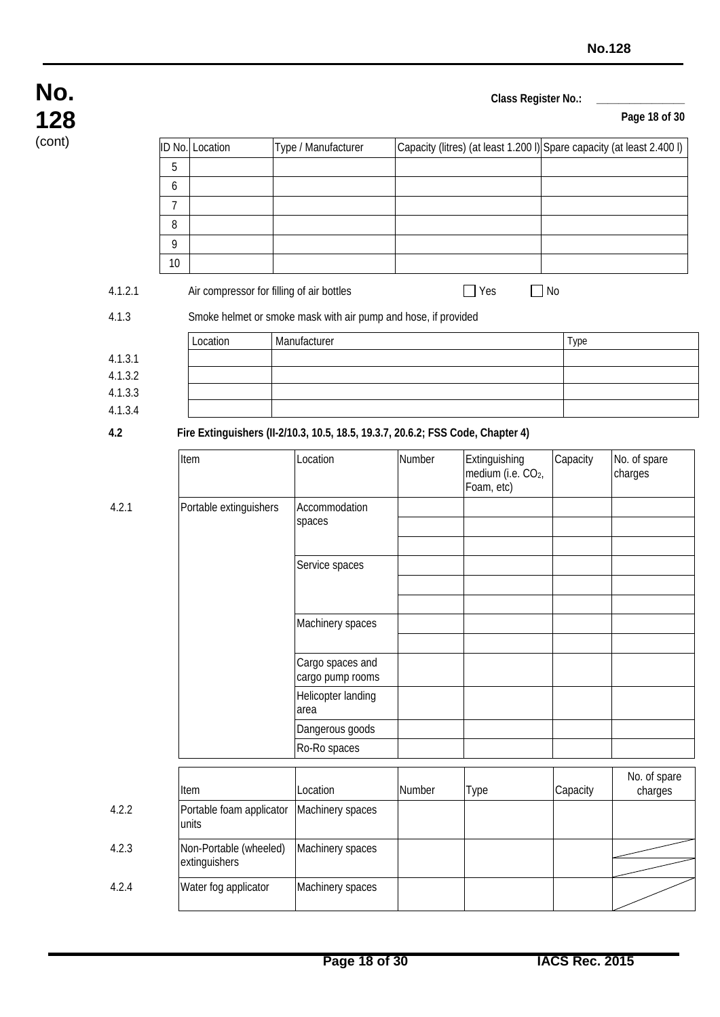**Page 18 of 30**

| (cont) |         |                        |                                                                                 |                                      |        |                                                                        |          |                         |
|--------|---------|------------------------|---------------------------------------------------------------------------------|--------------------------------------|--------|------------------------------------------------------------------------|----------|-------------------------|
|        |         |                        | ID No. Location                                                                 | Type / Manufacturer                  |        | Capacity (litres) (at least 1.200 I) Spare capacity (at least 2.400 I) |          |                         |
|        |         | 5                      |                                                                                 |                                      |        |                                                                        |          |                         |
|        |         | 6                      |                                                                                 |                                      |        |                                                                        |          |                         |
|        |         | $\overline{7}$         |                                                                                 |                                      |        |                                                                        |          |                         |
|        |         | 8                      |                                                                                 |                                      |        |                                                                        |          |                         |
|        |         | 9                      |                                                                                 |                                      |        |                                                                        |          |                         |
|        |         | 10                     |                                                                                 |                                      |        |                                                                        |          |                         |
|        | 4.1.2.1 |                        | Air compressor for filling of air bottles                                       |                                      |        | $\Box$ No<br>$\Box$ Yes                                                |          |                         |
|        | 4.1.3   |                        | Smoke helmet or smoke mask with air pump and hose, if provided                  |                                      |        |                                                                        |          |                         |
|        |         |                        | Location                                                                        | Manufacturer                         |        |                                                                        | Type     |                         |
|        | 4.1.3.1 |                        |                                                                                 |                                      |        |                                                                        |          |                         |
|        | 4.1.3.2 |                        |                                                                                 |                                      |        |                                                                        |          |                         |
|        | 4.1.3.3 |                        |                                                                                 |                                      |        |                                                                        |          |                         |
|        | 4.1.3.4 |                        |                                                                                 |                                      |        |                                                                        |          |                         |
|        | 4.2     |                        | Fire Extinguishers (II-2/10.3, 10.5, 18.5, 19.3.7, 20.6.2; FSS Code, Chapter 4) |                                      |        |                                                                        |          |                         |
|        |         |                        | Item                                                                            | Location                             | Number | Extinguishing                                                          | Capacity | No. of spare            |
|        |         |                        |                                                                                 |                                      |        | medium (i.e. CO <sub>2</sub> ,<br>Foam, etc)                           |          | charges                 |
|        | 4.2.1   | Portable extinguishers |                                                                                 | Accommodation                        |        |                                                                        |          |                         |
|        |         |                        |                                                                                 | spaces                               |        |                                                                        |          |                         |
|        |         |                        |                                                                                 |                                      |        |                                                                        |          |                         |
|        |         |                        |                                                                                 | Service spaces                       |        |                                                                        |          |                         |
|        |         |                        |                                                                                 |                                      |        |                                                                        |          |                         |
|        |         |                        |                                                                                 |                                      |        |                                                                        |          |                         |
|        |         |                        |                                                                                 | Machinery spaces                     |        |                                                                        |          |                         |
|        |         |                        |                                                                                 |                                      |        |                                                                        |          |                         |
|        |         |                        |                                                                                 | Cargo spaces and<br>cargo pump rooms |        |                                                                        |          |                         |
|        |         |                        |                                                                                 | Helicopter landing                   |        |                                                                        |          |                         |
|        |         |                        |                                                                                 | area                                 |        |                                                                        |          |                         |
|        |         |                        |                                                                                 | Dangerous goods                      |        |                                                                        |          |                         |
|        |         |                        |                                                                                 | Ro-Ro spaces                         |        |                                                                        |          |                         |
|        |         |                        |                                                                                 |                                      |        |                                                                        |          |                         |
|        |         |                        | Item                                                                            | Location                             | Number | <b>Type</b>                                                            | Capacity | No. of spare<br>charges |
|        | 4.2.2   |                        | Portable foam applicator<br>units                                               | Machinery spaces                     |        |                                                                        |          |                         |
|        | 4.2.3   |                        | Non-Portable (wheeled)                                                          | Machinery spaces                     |        |                                                                        |          |                         |
|        |         |                        | extinguishers                                                                   |                                      |        |                                                                        |          |                         |
|        | 4.2.4   |                        | Water fog applicator                                                            | Machinery spaces                     |        |                                                                        |          |                         |
|        |         |                        |                                                                                 |                                      |        |                                                                        |          |                         |

**No.**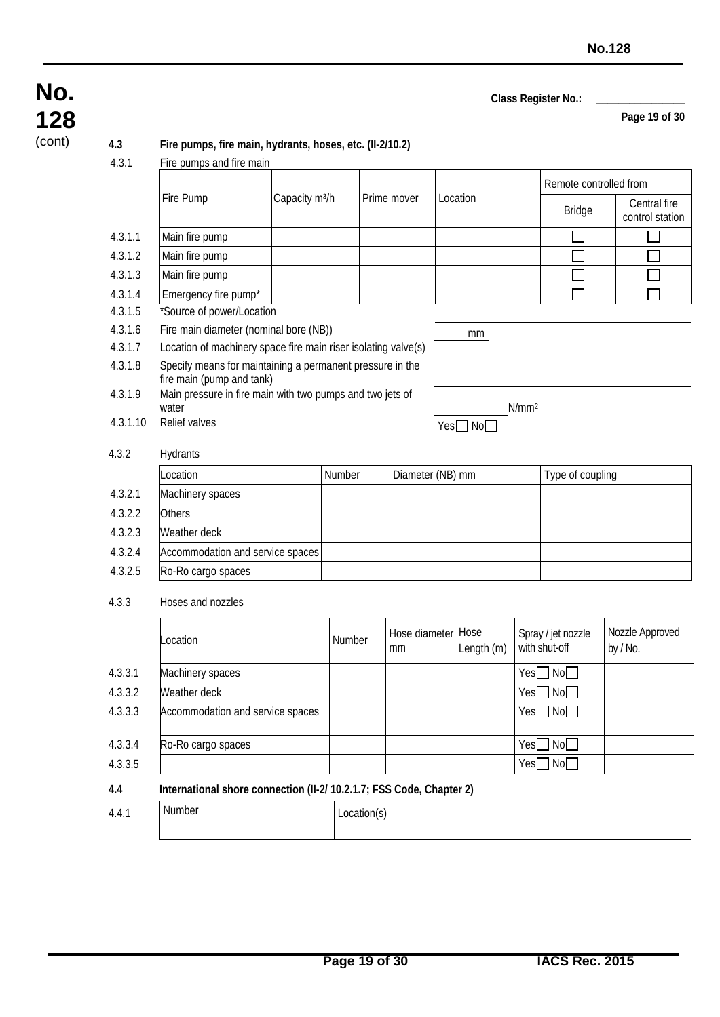**Page 19 of 30**

# **No. 128**

#### (cont) **4.3 Fire pumps, fire main, hydrants, hoses, etc. (II-2/10.2)**

4.3.1 Fire pumps and fire main

|          |                                                                                        |                            |        |                     |  |                    |                   | Remote controlled from              |                                 |  |
|----------|----------------------------------------------------------------------------------------|----------------------------|--------|---------------------|--|--------------------|-------------------|-------------------------------------|---------------------------------|--|
|          | Fire Pump                                                                              | Capacity m <sup>3</sup> /h |        | Prime mover         |  | Location           |                   | <b>Bridge</b>                       | Central fire<br>control station |  |
| 4.3.1.1  | Main fire pump                                                                         |                            |        |                     |  |                    |                   |                                     |                                 |  |
| 4.3.1.2  | Main fire pump                                                                         |                            |        |                     |  |                    |                   |                                     |                                 |  |
| 4.3.1.3  | Main fire pump                                                                         |                            |        |                     |  |                    |                   |                                     |                                 |  |
| 4.3.1.4  | Emergency fire pump*                                                                   |                            |        |                     |  |                    |                   |                                     |                                 |  |
| 4.3.1.5  | *Source of power/Location                                                              |                            |        |                     |  |                    |                   |                                     |                                 |  |
| 4.3.1.6  | Fire main diameter (nominal bore (NB))                                                 |                            |        |                     |  | mm                 |                   |                                     |                                 |  |
| 4.3.1.7  | Location of machinery space fire main riser isolating valve(s)                         |                            |        |                     |  |                    |                   |                                     |                                 |  |
| 4.3.1.8  | Specify means for maintaining a permanent pressure in the<br>fire main (pump and tank) |                            |        |                     |  |                    |                   |                                     |                                 |  |
| 4.3.1.9  | Main pressure in fire main with two pumps and two jets of                              |                            |        |                     |  |                    |                   |                                     |                                 |  |
| 4.3.1.10 | water<br>Relief valves                                                                 |                            |        |                     |  | $Yes \Box No \Box$ | N/mm <sup>2</sup> |                                     |                                 |  |
| 4.3.2    | Hydrants                                                                               |                            |        |                     |  |                    |                   |                                     |                                 |  |
|          | Location                                                                               |                            | Number | Diameter (NB) mm    |  |                    |                   | Type of coupling                    |                                 |  |
| 4.3.2.1  | Machinery spaces                                                                       |                            |        |                     |  |                    |                   |                                     |                                 |  |
| 4.3.2.2  | Others                                                                                 |                            |        |                     |  |                    |                   |                                     |                                 |  |
| 4.3.2.3  | Weather deck                                                                           |                            |        |                     |  |                    |                   |                                     |                                 |  |
| 4.3.2.4  | Accommodation and service spaces                                                       |                            |        |                     |  |                    |                   |                                     |                                 |  |
| 4.3.2.5  | Ro-Ro cargo spaces                                                                     |                            |        |                     |  |                    |                   |                                     |                                 |  |
| 4.3.3    | Hoses and nozzles                                                                      |                            |        |                     |  |                    |                   |                                     |                                 |  |
|          | Location                                                                               |                            | Number | Hose diameter<br>mm |  | Hose<br>Length (m) |                   | Spray / jet nozzle<br>with shut-off | Nozzle Approved<br>by / No.     |  |
| 4.3.3.1  | Machinery spaces                                                                       |                            |        |                     |  |                    | Yes               | No                                  |                                 |  |
| 4.3.3.2  | Weather deck                                                                           |                            |        |                     |  |                    | Yes               | No <sub>1</sub>                     |                                 |  |
| 4.3.3.3  | Accommodation and service spaces                                                       |                            |        |                     |  |                    |                   | $Yes \Box No \Box$                  |                                 |  |
| 4.3.3.4  | Ro-Ro cargo spaces                                                                     |                            |        |                     |  |                    |                   | Yes□No□                             |                                 |  |
| 4.3.3.5  |                                                                                        |                            |        |                     |  |                    |                   | $Yes \Box No \Box$                  |                                 |  |

#### **4.4 International shore connection (II-2/ 10.2.1.7; FSS Code, Chapter 2)**

| 4.4. | $\sim$ 0.00 $\mu$ $\sim$ $\sim$ |  |
|------|---------------------------------|--|
|      |                                 |  |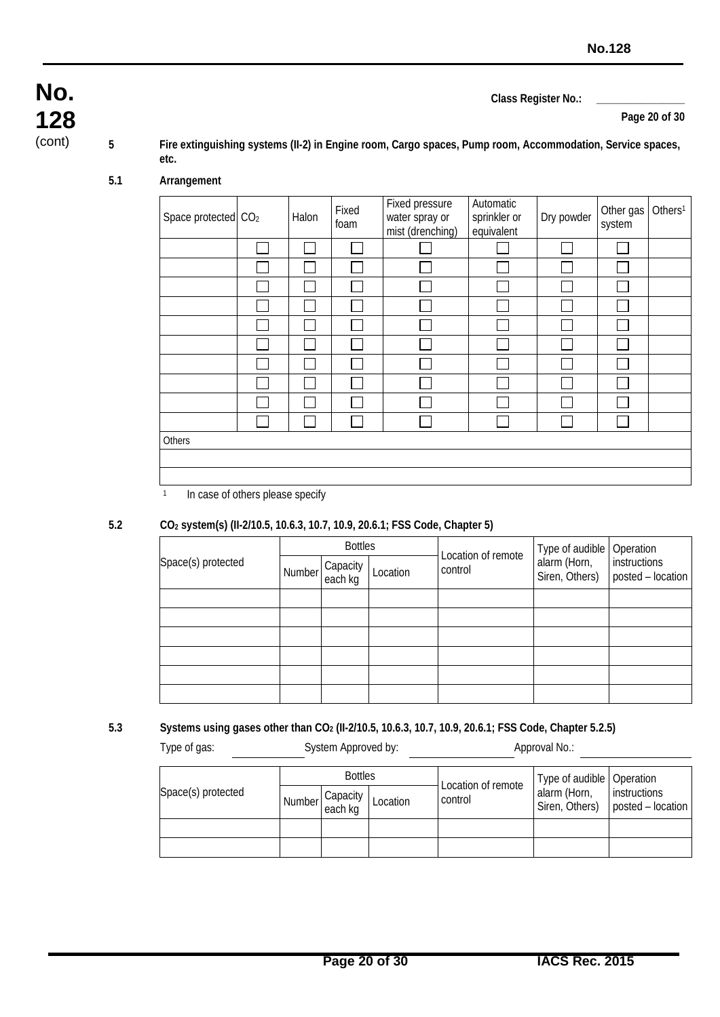**Page 20 of 30**

**128**

**No.**

(cont) **5 Fire extinguishing systems (II-2) in Engine room, Cargo spaces, Pump room, Accommodation, Service spaces, etc.**

#### **5.1 Arrangement**

| Space protected CO <sub>2</sub> | Halon | Fixed<br>foam | Fixed pressure<br>water spray or<br>mist (drenching) | Automatic<br>sprinkler or<br>equivalent | Dry powder | Other gas<br>system | Others <sup>1</sup> |
|---------------------------------|-------|---------------|------------------------------------------------------|-----------------------------------------|------------|---------------------|---------------------|
|                                 |       |               |                                                      |                                         |            |                     |                     |
|                                 |       |               |                                                      |                                         |            |                     |                     |
|                                 |       |               |                                                      |                                         |            |                     |                     |
|                                 |       |               |                                                      |                                         |            |                     |                     |
|                                 |       |               |                                                      |                                         |            |                     |                     |
|                                 |       |               |                                                      |                                         |            |                     |                     |
|                                 |       |               |                                                      |                                         |            |                     |                     |
|                                 |       |               |                                                      |                                         |            |                     |                     |
|                                 |       |               |                                                      |                                         |            |                     |                     |
|                                 |       |               |                                                      |                                         |            |                     |                     |
| Others                          |       |               |                                                      |                                         |            |                     |                     |
|                                 |       |               |                                                      |                                         |            |                     |                     |
|                                 |       |               |                                                      |                                         |            |                     |                     |

<sup>1</sup> In case of others please specify

#### **5.2 CO2 system(s) (II-2/10.5, 10.6.3, 10.7, 10.9, 20.6.1; FSS Code, Chapter 5)**

|                    | <b>Bottles</b> |                     |          | Location of remote | Type of audible                | Operation                         |  |
|--------------------|----------------|---------------------|----------|--------------------|--------------------------------|-----------------------------------|--|
| Space(s) protected | Number         | Capacity<br>each kg | Location | control            | alarm (Horn,<br>Siren, Others) | instructions<br>posted - location |  |
|                    |                |                     |          |                    |                                |                                   |  |
|                    |                |                     |          |                    |                                |                                   |  |
|                    |                |                     |          |                    |                                |                                   |  |
|                    |                |                     |          |                    |                                |                                   |  |
|                    |                |                     |          |                    |                                |                                   |  |
|                    |                |                     |          |                    |                                |                                   |  |

#### **5.3 Systems using gases other than CO2 (II-2/10.5, 10.6.3, 10.7, 10.9, 20.6.1; FSS Code, Chapter 5.2.5)**

Type of gas: System Approved by: Approval No.:

|                    | <b>Bottles</b> |                                |          | Location of remote | Type of audible   Operation |                                                    |  |
|--------------------|----------------|--------------------------------|----------|--------------------|-----------------------------|----------------------------------------------------|--|
| Space(s) protected |                | Capacity<br>Number each kg I - | Location | control            | alarm (Horn,                | instructions<br>Siren, Others)   posted - location |  |
|                    |                |                                |          |                    |                             |                                                    |  |
|                    |                |                                |          |                    |                             |                                                    |  |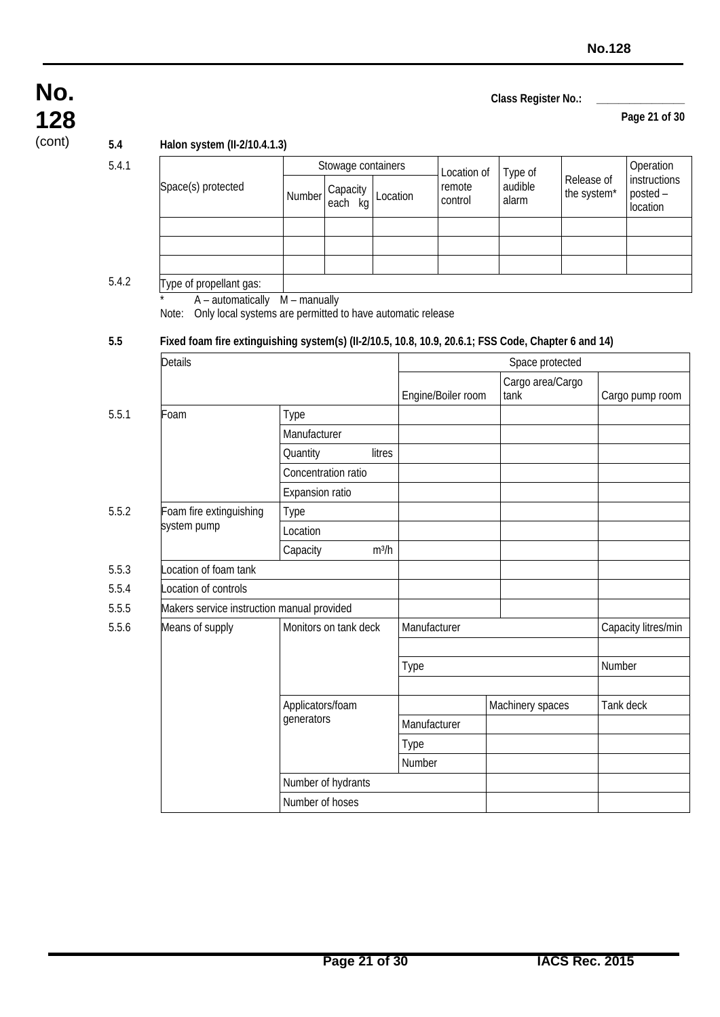#### **Page 21 of 30**

**128**

**No.**

(cont) **5.4 Halon system (II-2/10.4.1.3)**

5.4.1

|                                                                                                     |                                | Stowage containers    |          |              | Location of        | Type of          | Release of<br>the system* |        | Operation                            |
|-----------------------------------------------------------------------------------------------------|--------------------------------|-----------------------|----------|--------------|--------------------|------------------|---------------------------|--------|--------------------------------------|
| Space(s) protected                                                                                  | Number                         | Capacity<br>each kg   | Location |              | remote<br>control  | audible<br>alarm |                           |        | instructions<br>posted -<br>location |
|                                                                                                     |                                |                       |          |              |                    |                  |                           |        |                                      |
|                                                                                                     |                                |                       |          |              |                    |                  |                           |        |                                      |
|                                                                                                     |                                |                       |          |              |                    |                  |                           |        |                                      |
| Type of propellant gas:<br>A - automatically                                                        | $M$ – manually                 |                       |          |              |                    |                  |                           |        |                                      |
| Only local systems are permitted to have automatic release<br>Note:                                 |                                |                       |          |              |                    |                  |                           |        |                                      |
| Fixed foam fire extinguishing system(s) (II-2/10.5, 10.8, 10.9, 20.6.1; FSS Code, Chapter 6 and 14) |                                |                       |          |              |                    |                  |                           |        |                                      |
| <b>Details</b>                                                                                      |                                |                       |          |              |                    | Space protected  |                           |        |                                      |
|                                                                                                     |                                |                       |          |              |                    | Cargo area/Cargo |                           |        |                                      |
|                                                                                                     |                                |                       |          |              | Engine/Boiler room | tank             |                           |        | Cargo pump room                      |
| Foam                                                                                                | Type                           |                       |          |              |                    |                  |                           |        |                                      |
|                                                                                                     | Manufacturer                   |                       |          |              |                    |                  |                           |        |                                      |
|                                                                                                     | Quantity                       |                       | litres   |              |                    |                  |                           |        |                                      |
|                                                                                                     |                                | Concentration ratio   |          |              |                    |                  |                           |        |                                      |
|                                                                                                     | Expansion ratio                |                       |          |              |                    |                  |                           |        |                                      |
| Foam fire extinguishing                                                                             | Type                           |                       |          |              |                    |                  |                           |        |                                      |
| system pump                                                                                         | Location                       |                       |          |              |                    |                  |                           |        |                                      |
|                                                                                                     | Capacity                       |                       | $m^3/h$  |              |                    |                  |                           |        |                                      |
| ocation of foam tank                                                                                |                                |                       |          |              |                    |                  |                           |        |                                      |
| ocation of controls                                                                                 |                                |                       |          |              |                    |                  |                           |        |                                      |
| Makers service instruction manual provided                                                          |                                |                       |          |              |                    |                  |                           |        |                                      |
| Means of supply                                                                                     |                                | Monitors on tank deck |          | Manufacturer |                    |                  |                           |        | Capacity litres/min                  |
|                                                                                                     |                                |                       |          |              |                    |                  |                           |        |                                      |
|                                                                                                     |                                |                       |          | Type         |                    |                  |                           | Number |                                      |
|                                                                                                     |                                |                       |          |              |                    |                  |                           |        |                                      |
|                                                                                                     | Applicators/foam<br>generators |                       |          |              |                    | Machinery spaces |                           |        | Tank deck                            |
|                                                                                                     |                                |                       |          | Manufacturer |                    |                  |                           |        |                                      |
|                                                                                                     |                                |                       |          | Type         |                    |                  |                           |        |                                      |
|                                                                                                     |                                |                       |          | Number       |                    |                  |                           |        |                                      |
|                                                                                                     |                                | Number of hydrants    |          |              |                    |                  |                           |        |                                      |
|                                                                                                     | Number of hoses                |                       |          |              |                    |                  |                           |        |                                      |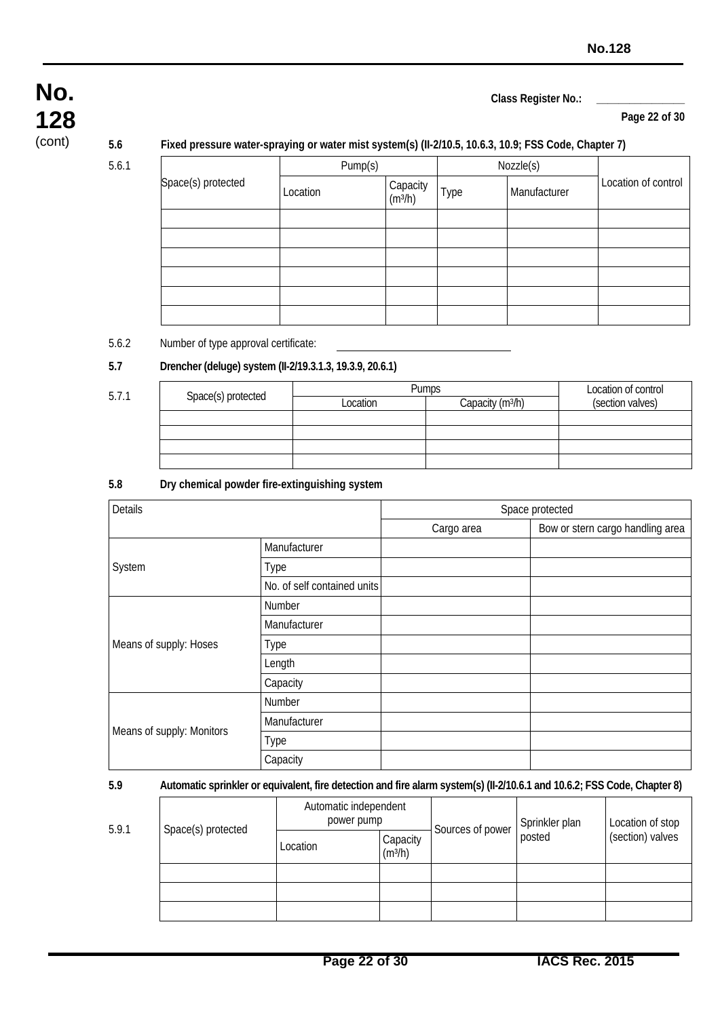#### **Page 22 of 30**

**128**

**No.**

#### (cont) **5.6 Fixed pressure water-spraying or water mist system(s) (II-2/10.5, 10.6.3, 10.9; FSS Code, Chapter 7)**

5.6.1

|                    | Pump(s)  |                                 |      | Nozzle(s)    |                     |  |
|--------------------|----------|---------------------------------|------|--------------|---------------------|--|
| Space(s) protected | Location | Capacity<br>(m <sup>3</sup> /h) | Type | Manufacturer | Location of control |  |
|                    |          |                                 |      |              |                     |  |
|                    |          |                                 |      |              |                     |  |
|                    |          |                                 |      |              |                     |  |
|                    |          |                                 |      |              |                     |  |
|                    |          |                                 |      |              |                     |  |
|                    |          |                                 |      |              |                     |  |

#### 5.6.2 Number of type approval certificate:

#### **5.7 Drencher (deluge) system (II-2/19.3.1.3, 19.3.9, 20.6.1)**

| 5.7.1 |                    | <b>Pumps</b> | Location of control          |                  |
|-------|--------------------|--------------|------------------------------|------------------|
|       | Space(s) protected | Location     | Capacity (m <sup>3</sup> /h) | (section valves) |
|       |                    |              |                              |                  |
|       |                    |              |                              |                  |
|       |                    |              |                              |                  |
|       |                    |              |                              |                  |

#### **5.8 Dry chemical powder fire-extinguishing system**

| Details                   |                             |            | Space protected                  |
|---------------------------|-----------------------------|------------|----------------------------------|
|                           |                             | Cargo area | Bow or stern cargo handling area |
|                           | Manufacturer                |            |                                  |
| System                    | Type                        |            |                                  |
|                           | No. of self contained units |            |                                  |
|                           | Number                      |            |                                  |
|                           | Manufacturer                |            |                                  |
| Means of supply: Hoses    | Type                        |            |                                  |
|                           | Length                      |            |                                  |
|                           | Capacity                    |            |                                  |
|                           | Number                      |            |                                  |
|                           | Manufacturer                |            |                                  |
| Means of supply: Monitors | Type                        |            |                                  |
|                           | Capacity                    |            |                                  |

#### **5.9 Automatic sprinkler or equivalent, fire detection and fire alarm system(s) (II-2/10.6.1 and 10.6.2; FSS Code, Chapter 8)**

|       |                    | Automatic independent<br>power pump |                       | Sources of power |                          | Location of stop |
|-------|--------------------|-------------------------------------|-----------------------|------------------|--------------------------|------------------|
| 5.9.1 | Space(s) protected | Location                            | Capacity<br>$(m^3/h)$ |                  | Sprinkler plan<br>posted | (section) valves |
|       |                    |                                     |                       |                  |                          |                  |
|       |                    |                                     |                       |                  |                          |                  |
|       |                    |                                     |                       |                  |                          |                  |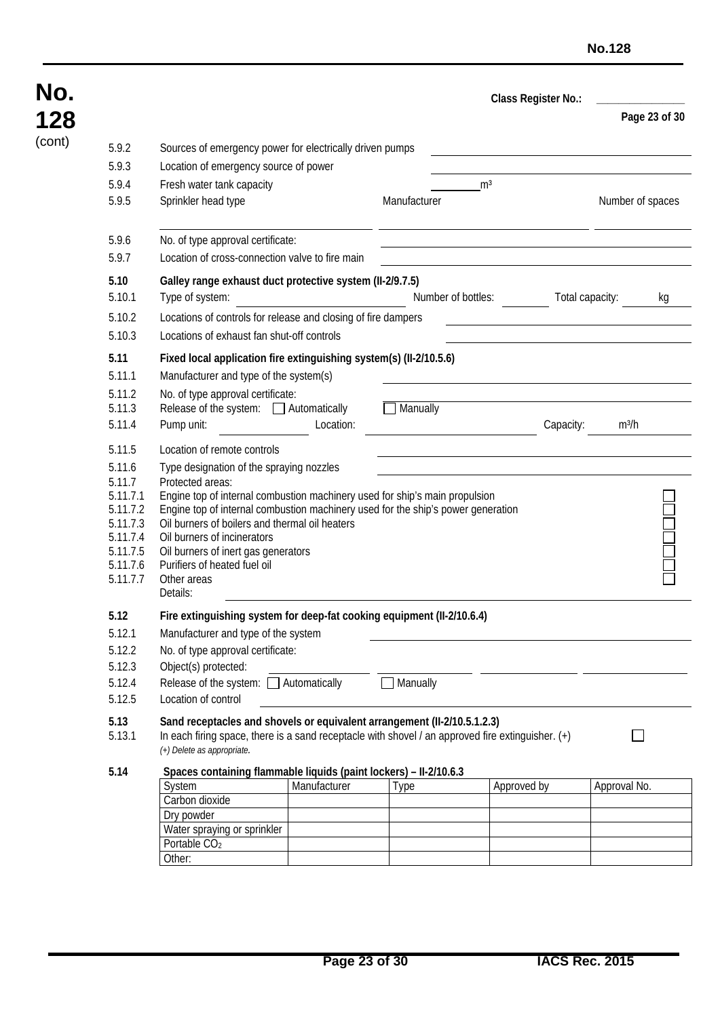| No.    |                                                                            |                                                                                                                                                                                                                                                                                                                                                 |                    | Class Register No.: |                 |                  |  |
|--------|----------------------------------------------------------------------------|-------------------------------------------------------------------------------------------------------------------------------------------------------------------------------------------------------------------------------------------------------------------------------------------------------------------------------------------------|--------------------|---------------------|-----------------|------------------|--|
| 128    |                                                                            |                                                                                                                                                                                                                                                                                                                                                 |                    |                     |                 | Page 23 of 30    |  |
| (cont) | 5.9.2<br>5.9.3<br>5.9.4<br>5.9.5                                           | Sources of emergency power for electrically driven pumps<br>Location of emergency source of power<br>Fresh water tank capacity<br>Sprinkler head type                                                                                                                                                                                           | Manufacturer       | m <sup>3</sup>      |                 | Number of spaces |  |
|        | 5.9.6<br>5.9.7                                                             | No. of type approval certificate:<br>Location of cross-connection valve to fire main                                                                                                                                                                                                                                                            |                    |                     |                 |                  |  |
|        | 5.10<br>5.10.1                                                             | Galley range exhaust duct protective system (II-2/9.7.5)<br>Type of system:                                                                                                                                                                                                                                                                     | Number of bottles: |                     | Total capacity: | kg               |  |
|        | 5.10.2<br>5.10.3                                                           | Locations of controls for release and closing of fire dampers<br>Locations of exhaust fan shut-off controls                                                                                                                                                                                                                                     |                    |                     |                 |                  |  |
|        | 5.11<br>5.11.1                                                             | Fixed local application fire extinguishing system(s) (II-2/10.5.6)<br>Manufacturer and type of the system(s)                                                                                                                                                                                                                                    |                    |                     |                 |                  |  |
|        | 5.11.2<br>5.11.3<br>5.11.4                                                 | No. of type approval certificate:<br>Release of the system: □ Automatically<br>Pump unit:<br>Location:                                                                                                                                                                                                                                          | $\Box$ Manually    |                     | Capacity:       | $m^3/h$          |  |
|        | 5.11.5<br>5.11.6<br>5.11.7<br>5.11.7.1<br>5.11.7.2<br>5.11.7.3<br>5.11.7.4 | Location of remote controls<br>Type designation of the spraying nozzles<br>Protected areas:<br>Engine top of internal combustion machinery used for ship's main propulsion<br>Engine top of internal combustion machinery used for the ship's power generation<br>Oil burners of boilers and thermal oil heaters<br>Oil burners of incinerators |                    |                     |                 |                  |  |
|        | 5.11.7.5<br>5.11.7.6<br>5.11.7.7                                           | Oil burners of inert gas generators<br>Purifiers of heated fuel oil<br>Other areas<br>Details:                                                                                                                                                                                                                                                  |                    |                     |                 |                  |  |
|        | 5.12<br>5.12.1<br>5.12.2                                                   | Fire extinguishing system for deep-fat cooking equipment (II-2/10.6.4)<br>Manufacturer and type of the system<br>No. of type approval certificate:                                                                                                                                                                                              |                    |                     |                 |                  |  |
|        | 5.12.3<br>5.12.4<br>5.12.5                                                 | Object(s) protected:<br>Release of the system: □ Automatically<br>Location of control                                                                                                                                                                                                                                                           | Manually           |                     |                 |                  |  |
|        | 5.13<br>5.13.1                                                             | Sand receptacles and shovels or equivalent arrangement (II-2/10.5.1.2.3)<br>In each firing space, there is a sand receptacle with shovel / an approved fire extinguisher. $(+)$<br>(+) Delete as appropriate.                                                                                                                                   |                    |                     |                 |                  |  |
|        | 5.14                                                                       | Spaces containing flammable liquids (paint lockers) - II-2/10.6.3<br>Manufacturer<br>System<br>Carbon dioxide<br>Dry powder<br>Water spraying or sprinkler<br>Portable CO <sub>2</sub><br>Other:                                                                                                                                                | Type               | Approved by         |                 | Approval No.     |  |

**No.**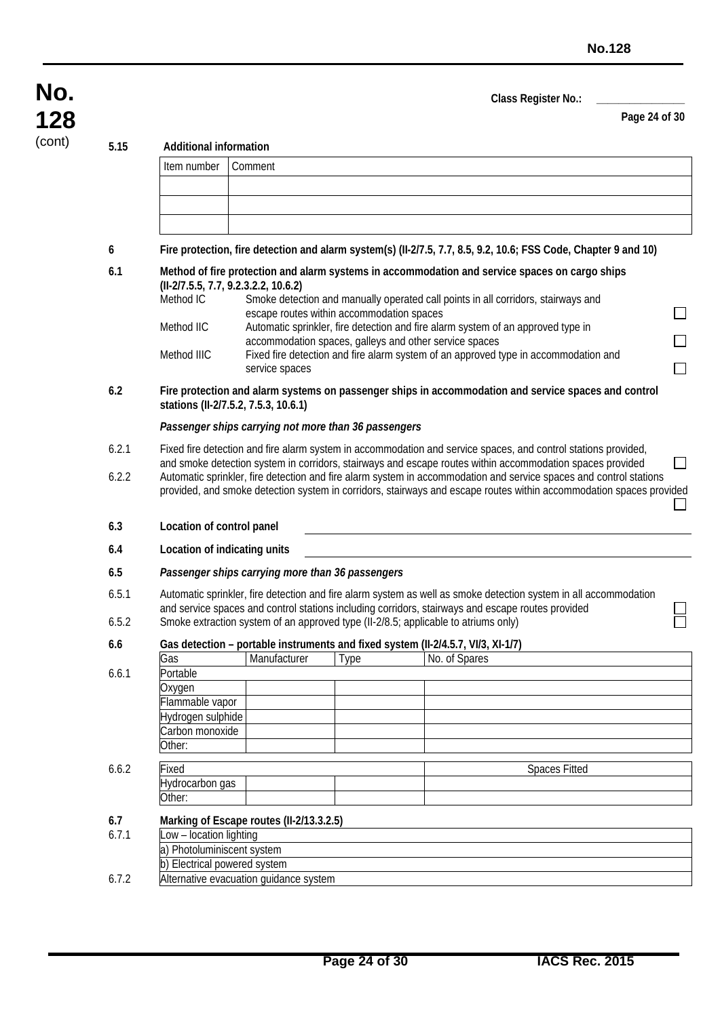**Page 24 of 30**

**128**

**No.**

(cont) **5.15 Additional information**

| ง. เง          | Auuniviidi illiviiliduvii                                                               |                                                        |                                           |                                                                                                                                                                                                                                                                                                                                                                                                                          |  |
|----------------|-----------------------------------------------------------------------------------------|--------------------------------------------------------|-------------------------------------------|--------------------------------------------------------------------------------------------------------------------------------------------------------------------------------------------------------------------------------------------------------------------------------------------------------------------------------------------------------------------------------------------------------------------------|--|
|                | Item number                                                                             | Comment                                                |                                           |                                                                                                                                                                                                                                                                                                                                                                                                                          |  |
|                |                                                                                         |                                                        |                                           |                                                                                                                                                                                                                                                                                                                                                                                                                          |  |
|                |                                                                                         |                                                        |                                           |                                                                                                                                                                                                                                                                                                                                                                                                                          |  |
| 6              |                                                                                         |                                                        |                                           | Fire protection, fire detection and alarm system(s) (II-2/7.5, 7.7, 8.5, 9.2, 10.6; FSS Code, Chapter 9 and 10)                                                                                                                                                                                                                                                                                                          |  |
| 6.1            | Method IC<br>Method IIC<br>Method IIIC                                                  | (II-2/7.5.5, 7.7, 9.2.3.2.2, 10.6.2)<br>service spaces | escape routes within accommodation spaces | Method of fire protection and alarm systems in accommodation and service spaces on cargo ships<br>Smoke detection and manually operated call points in all corridors, stairways and<br>Automatic sprinkler, fire detection and fire alarm system of an approved type in<br>accommodation spaces, galleys and other service spaces<br>Fixed fire detection and fire alarm system of an approved type in accommodation and |  |
| 6.2            |                                                                                         | stations (II-2/7.5.2, 7.5.3, 10.6.1)                   |                                           | Fire protection and alarm systems on passenger ships in accommodation and service spaces and control                                                                                                                                                                                                                                                                                                                     |  |
|                |                                                                                         | Passenger ships carrying not more than 36 passengers   |                                           |                                                                                                                                                                                                                                                                                                                                                                                                                          |  |
| 6.2.1          |                                                                                         |                                                        |                                           | Fixed fire detection and fire alarm system in accommodation and service spaces, and control stations provided,                                                                                                                                                                                                                                                                                                           |  |
| 6.2.2          |                                                                                         |                                                        |                                           | and smoke detection system in corridors, stairways and escape routes within accommodation spaces provided<br>Automatic sprinkler, fire detection and fire alarm system in accommodation and service spaces and control stations<br>provided, and smoke detection system in corridors, stairways and escape routes within accommodation spaces provided                                                                   |  |
| 6.3            | Location of control panel                                                               |                                                        |                                           |                                                                                                                                                                                                                                                                                                                                                                                                                          |  |
| 6.4            | Location of indicating units                                                            |                                                        |                                           |                                                                                                                                                                                                                                                                                                                                                                                                                          |  |
| 6.5            |                                                                                         | Passenger ships carrying more than 36 passengers       |                                           |                                                                                                                                                                                                                                                                                                                                                                                                                          |  |
| 6.5.1<br>6.5.2 |                                                                                         |                                                        |                                           | Automatic sprinkler, fire detection and fire alarm system as well as smoke detection system in all accommodation<br>and service spaces and control stations including corridors, stairways and escape routes provided<br>Smoke extraction system of an approved type (II-2/8.5; applicable to atriums only)                                                                                                              |  |
| 6.6            |                                                                                         |                                                        |                                           | Gas detection - portable instruments and fixed system (II-2/4.5.7, VI/3, XI-1/7)                                                                                                                                                                                                                                                                                                                                         |  |
|                | Gas                                                                                     | Manufacturer                                           | Type                                      | No. of Spares                                                                                                                                                                                                                                                                                                                                                                                                            |  |
| 6.6.1          | Portable<br>Oxygen<br>Flammable vapor<br>Hydrogen sulphide<br>Carbon monoxide<br>Other: |                                                        |                                           |                                                                                                                                                                                                                                                                                                                                                                                                                          |  |
| 6.6.2          | Fixed                                                                                   |                                                        |                                           | <b>Spaces Fitted</b>                                                                                                                                                                                                                                                                                                                                                                                                     |  |
|                | Hydrocarbon gas<br>Other:                                                               |                                                        |                                           |                                                                                                                                                                                                                                                                                                                                                                                                                          |  |
| 6.7            |                                                                                         | Marking of Escape routes (II-2/13.3.2.5)               |                                           |                                                                                                                                                                                                                                                                                                                                                                                                                          |  |
| 6.7.1          | Low - location lighting<br>a) Photoluminiscent system<br>b) Electrical powered system   |                                                        |                                           |                                                                                                                                                                                                                                                                                                                                                                                                                          |  |
| 6.7.2          |                                                                                         | Alternative evacuation guidance system                 |                                           |                                                                                                                                                                                                                                                                                                                                                                                                                          |  |
|                |                                                                                         |                                                        |                                           |                                                                                                                                                                                                                                                                                                                                                                                                                          |  |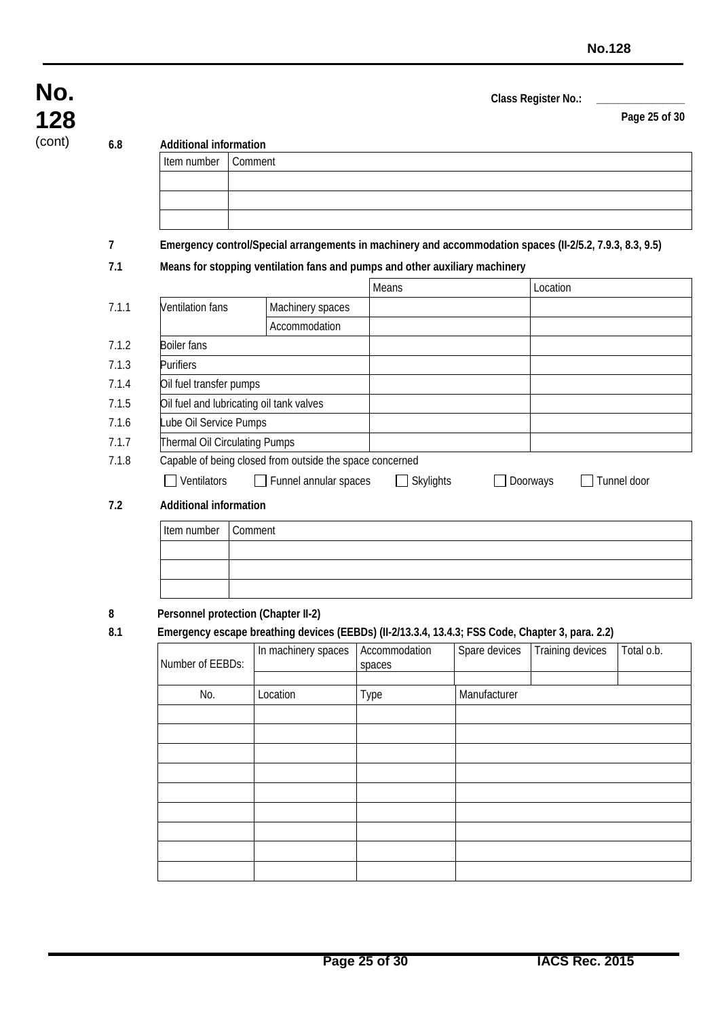| Class Register No.: |  |
|---------------------|--|
|                     |  |

**Page 25 of 30**

**128**

**No.**

#### (cont) **6.8 Additional information**

| Item number Comment |                                                                                                           |
|---------------------|-----------------------------------------------------------------------------------------------------------|
|                     |                                                                                                           |
|                     |                                                                                                           |
|                     |                                                                                                           |
|                     | Frequency controls provide creations and in monkings and coopmendation crosses (U.3 F.3, 7.0.3, 0.3, 0.5) |

### **7 Emergency control/Special arrangements in machinery and accommodation spaces (II-2/5.2, 7.9.3, 8.3, 9.5)**

#### **7.1 Means for stopping ventilation fans and pumps and other auxiliary machinery**

|       |                               |                                                          | Means                              | Location |             |
|-------|-------------------------------|----------------------------------------------------------|------------------------------------|----------|-------------|
| 7.1.1 | <b>Ventilation fans</b>       | Machinery spaces                                         |                                    |          |             |
|       |                               | Accommodation                                            |                                    |          |             |
| 7.1.2 | <b>Boiler fans</b>            |                                                          |                                    |          |             |
| 7.1.3 | <b>Purifiers</b>              |                                                          |                                    |          |             |
| 7.1.4 | Oil fuel transfer pumps       |                                                          |                                    |          |             |
| 7.1.5 |                               | Oil fuel and lubricating oil tank valves                 |                                    |          |             |
| 7.1.6 | Lube Oil Service Pumps        |                                                          |                                    |          |             |
| 7.1.7 |                               | <b>Thermal Oil Circulating Pumps</b>                     |                                    |          |             |
| 7.1.8 |                               | Capable of being closed from outside the space concerned |                                    |          |             |
|       | Ventilators                   | Funnel annular spaces<br>$\perp$                         | <b>Skylights</b><br>$\blacksquare$ | Doorways | Tunnel door |
| 7.2   | <b>Additional information</b> |                                                          |                                    |          |             |
|       | Item number                   | Comment                                                  |                                    |          |             |
|       |                               |                                                          |                                    |          |             |

#### **8 Personnel protection (Chapter II-2)**

**8.1 Emergency escape breathing devices (EEBDs) (II-2/13.3.4, 13.4.3; FSS Code, Chapter 3, para. 2.2)**

| Number of EEBDs: | In machinery spaces | Accommodation<br>spaces | Spare devices | Training devices | Total o.b. |
|------------------|---------------------|-------------------------|---------------|------------------|------------|
| No.              | Location            | Type                    | Manufacturer  |                  |            |
|                  |                     |                         |               |                  |            |
|                  |                     |                         |               |                  |            |
|                  |                     |                         |               |                  |            |
|                  |                     |                         |               |                  |            |
|                  |                     |                         |               |                  |            |
|                  |                     |                         |               |                  |            |
|                  |                     |                         |               |                  |            |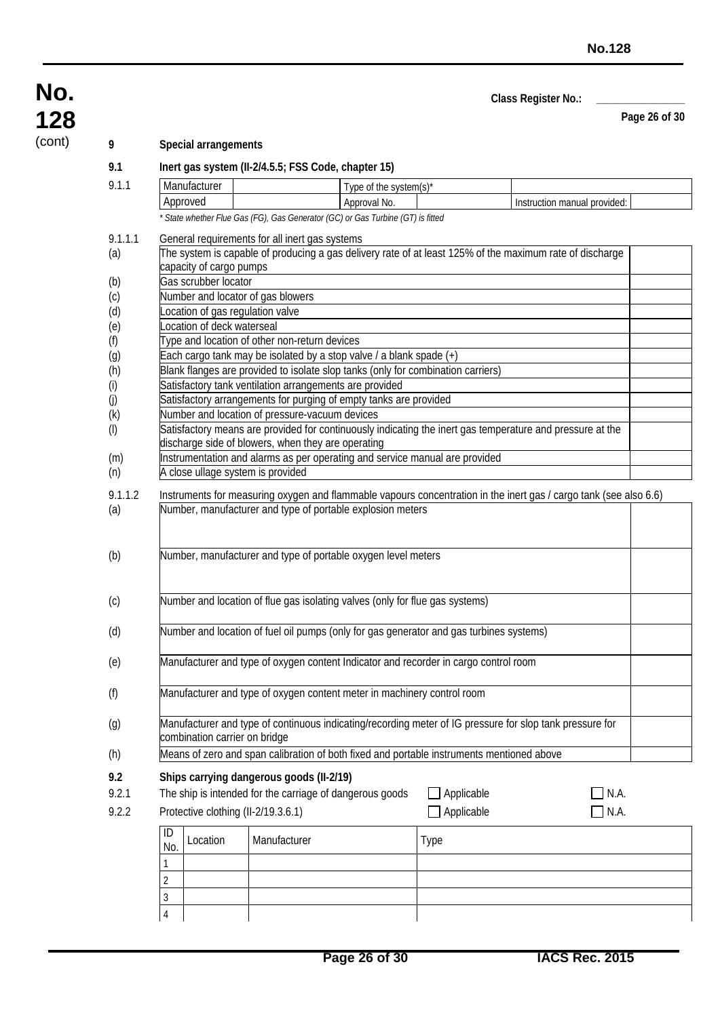**Page 26 of 30**

### (cont) **9 Special arrangements**

| 128    |  |
|--------|--|
| (cont) |  |

**No.**

**9.1 Inert gas system (II-2/4.5.5; FSS Code, chapter 15)** 9.1.1 Manufacturer Type of the system(s)\*

|           | Approved                                                                                                 |                                   |                                                                                  | Approval No. | Instruction manual provided:                                                                                      |  |  |  |  |  |
|-----------|----------------------------------------------------------------------------------------------------------|-----------------------------------|----------------------------------------------------------------------------------|--------------|-------------------------------------------------------------------------------------------------------------------|--|--|--|--|--|
|           |                                                                                                          |                                   | * State whether Flue Gas (FG), Gas Generator (GC) or Gas Turbine (GT) is fitted  |              |                                                                                                                   |  |  |  |  |  |
| 9.1.1.1   |                                                                                                          |                                   | General requirements for all inert gas systems                                   |              |                                                                                                                   |  |  |  |  |  |
| (a)       | The system is capable of producing a gas delivery rate of at least 125% of the maximum rate of discharge |                                   |                                                                                  |              |                                                                                                                   |  |  |  |  |  |
|           |                                                                                                          | capacity of cargo pumps           |                                                                                  |              |                                                                                                                   |  |  |  |  |  |
| (b)       |                                                                                                          | Gas scrubber locator              |                                                                                  |              |                                                                                                                   |  |  |  |  |  |
| (c)       |                                                                                                          | Number and locator of gas blowers |                                                                                  |              |                                                                                                                   |  |  |  |  |  |
| (d)       |                                                                                                          |                                   | ocation of gas regulation valve                                                  |              |                                                                                                                   |  |  |  |  |  |
| (e)       |                                                                                                          | ocation of deck waterseal         |                                                                                  |              |                                                                                                                   |  |  |  |  |  |
| (f)       |                                                                                                          |                                   | Type and location of other non-return devices                                    |              |                                                                                                                   |  |  |  |  |  |
| (g)       |                                                                                                          |                                   | Each cargo tank may be isolated by a stop valve / a blank spade (+)              |              |                                                                                                                   |  |  |  |  |  |
| (h)       |                                                                                                          |                                   | Blank flanges are provided to isolate slop tanks (only for combination carriers) |              |                                                                                                                   |  |  |  |  |  |
| (i)       |                                                                                                          |                                   | Satisfactory tank ventilation arrangements are provided                          |              |                                                                                                                   |  |  |  |  |  |
| (j)       |                                                                                                          |                                   | Satisfactory arrangements for purging of empty tanks are provided                |              |                                                                                                                   |  |  |  |  |  |
| (k)       |                                                                                                          |                                   | Number and location of pressure-vacuum devices                                   |              |                                                                                                                   |  |  |  |  |  |
| $($ l $)$ |                                                                                                          |                                   |                                                                                  |              | Satisfactory means are provided for continuously indicating the inert gas temperature and pressure at the         |  |  |  |  |  |
|           |                                                                                                          |                                   | discharge side of blowers, when they are operating                               |              |                                                                                                                   |  |  |  |  |  |
| (m)       |                                                                                                          |                                   | Instrumentation and alarms as per operating and service manual are provided      |              |                                                                                                                   |  |  |  |  |  |
| (n)       |                                                                                                          |                                   | A close ullage system is provided                                                |              |                                                                                                                   |  |  |  |  |  |
| 9.1.1.2   |                                                                                                          |                                   |                                                                                  |              | Instruments for measuring oxygen and flammable vapours concentration in the inert gas / cargo tank (see also 6.6) |  |  |  |  |  |
| (a)       |                                                                                                          |                                   | Number, manufacturer and type of portable explosion meters                       |              |                                                                                                                   |  |  |  |  |  |
|           |                                                                                                          |                                   |                                                                                  |              |                                                                                                                   |  |  |  |  |  |
| (b)       |                                                                                                          |                                   | Number, manufacturer and type of portable oxygen level meters                    |              |                                                                                                                   |  |  |  |  |  |
|           |                                                                                                          |                                   |                                                                                  |              |                                                                                                                   |  |  |  |  |  |
|           |                                                                                                          |                                   |                                                                                  |              |                                                                                                                   |  |  |  |  |  |
| (c)       |                                                                                                          |                                   | Number and location of flue gas isolating valves (only for flue gas systems)     |              |                                                                                                                   |  |  |  |  |  |
|           |                                                                                                          |                                   |                                                                                  |              |                                                                                                                   |  |  |  |  |  |
| (d)       |                                                                                                          |                                   |                                                                                  |              | Number and location of fuel oil pumps (only for gas generator and gas turbines systems)                           |  |  |  |  |  |
|           |                                                                                                          |                                   |                                                                                  |              |                                                                                                                   |  |  |  |  |  |
| (e)       |                                                                                                          |                                   |                                                                                  |              | Manufacturer and type of oxygen content Indicator and recorder in cargo control room                              |  |  |  |  |  |
|           |                                                                                                          |                                   |                                                                                  |              |                                                                                                                   |  |  |  |  |  |
| (f)       |                                                                                                          |                                   | Manufacturer and type of oxygen content meter in machinery control room          |              |                                                                                                                   |  |  |  |  |  |
|           |                                                                                                          |                                   |                                                                                  |              |                                                                                                                   |  |  |  |  |  |
| (g)       |                                                                                                          |                                   |                                                                                  |              | Manufacturer and type of continuous indicating/recording meter of IG pressure for slop tank pressure for          |  |  |  |  |  |
|           |                                                                                                          |                                   | combination carrier on bridge                                                    |              |                                                                                                                   |  |  |  |  |  |
| (h)       |                                                                                                          |                                   |                                                                                  |              | Means of zero and span calibration of both fixed and portable instruments mentioned above                         |  |  |  |  |  |
|           |                                                                                                          |                                   |                                                                                  |              |                                                                                                                   |  |  |  |  |  |
| 9.2       |                                                                                                          |                                   | Ships carrying dangerous goods (II-2/19)                                         |              |                                                                                                                   |  |  |  |  |  |
| 9.2.1     |                                                                                                          |                                   | The ship is intended for the carriage of dangerous goods                         |              | Applicable<br>N.A.                                                                                                |  |  |  |  |  |
| 9.2.2     |                                                                                                          |                                   | Protective clothing (II-2/19.3.6.1)                                              |              | Applicable<br>N.A.                                                                                                |  |  |  |  |  |
|           |                                                                                                          |                                   |                                                                                  |              |                                                                                                                   |  |  |  |  |  |
|           | ID                                                                                                       | Location                          | Manufacturer                                                                     |              | Type                                                                                                              |  |  |  |  |  |
|           | No.                                                                                                      |                                   |                                                                                  |              |                                                                                                                   |  |  |  |  |  |
|           |                                                                                                          |                                   |                                                                                  |              |                                                                                                                   |  |  |  |  |  |
|           | $\overline{2}$                                                                                           |                                   |                                                                                  |              |                                                                                                                   |  |  |  |  |  |
|           | $\mathfrak{Z}$                                                                                           |                                   |                                                                                  |              |                                                                                                                   |  |  |  |  |  |
|           | $\sqrt{4}$                                                                                               |                                   |                                                                                  |              |                                                                                                                   |  |  |  |  |  |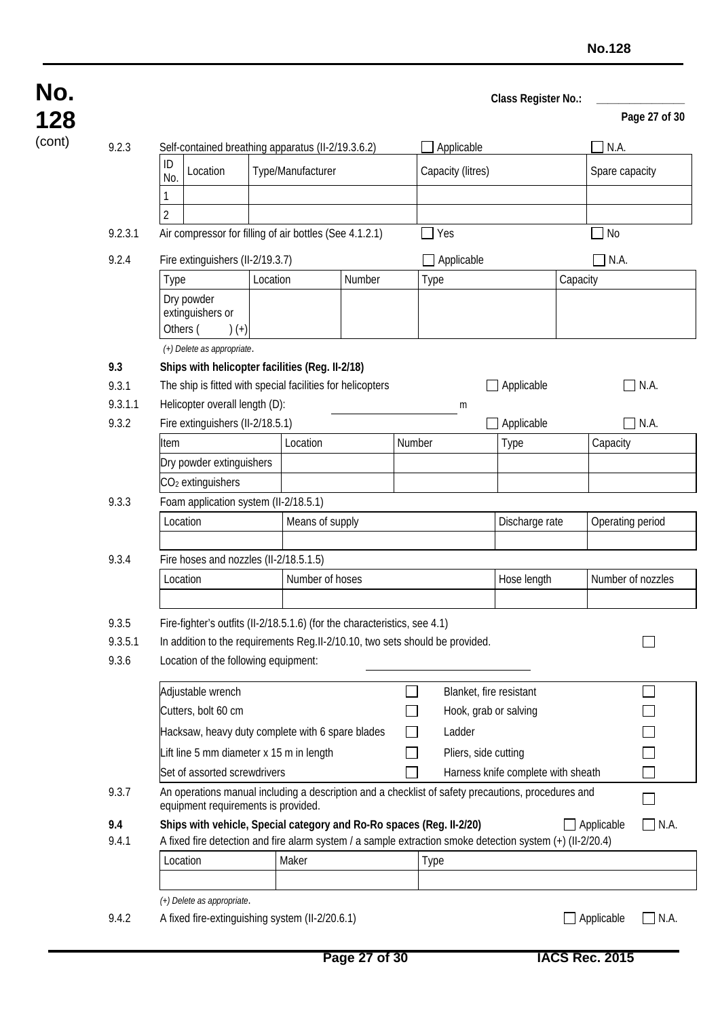|         |                                                                                                                                                                          |                                                                       |          |                   |        |        |                                                                      |                                                                                                           |          |                   | Page 27 of 30                    |
|---------|--------------------------------------------------------------------------------------------------------------------------------------------------------------------------|-----------------------------------------------------------------------|----------|-------------------|--------|--------|----------------------------------------------------------------------|-----------------------------------------------------------------------------------------------------------|----------|-------------------|----------------------------------|
| 9.2.3   |                                                                                                                                                                          | Self-contained breathing apparatus (II-2/19.3.6.2)                    |          |                   |        |        | Applicable                                                           |                                                                                                           |          | N.A.              |                                  |
|         | ID<br>No.                                                                                                                                                                | Location                                                              |          | Type/Manufacturer |        |        | Capacity (litres)                                                    |                                                                                                           |          | Spare capacity    |                                  |
|         |                                                                                                                                                                          |                                                                       |          |                   |        |        |                                                                      |                                                                                                           |          |                   |                                  |
|         | $\overline{2}$                                                                                                                                                           |                                                                       |          |                   |        |        |                                                                      |                                                                                                           |          |                   |                                  |
| 9.2.3.1 |                                                                                                                                                                          | Air compressor for filling of air bottles (See 4.1.2.1)               |          |                   |        |        | $\Box$ Yes                                                           |                                                                                                           |          | No                |                                  |
| 9.2.4   |                                                                                                                                                                          | Fire extinguishers (II-2/19.3.7)                                      |          |                   |        |        | Applicable                                                           |                                                                                                           |          | N.A.              |                                  |
|         | Type                                                                                                                                                                     |                                                                       | Location |                   | Number |        | <b>Type</b>                                                          |                                                                                                           | Capacity |                   |                                  |
|         | Others (                                                                                                                                                                 | Dry powder<br>extinguishers or<br>$(+)$<br>(+) Delete as appropriate. |          |                   |        |        |                                                                      |                                                                                                           |          |                   |                                  |
| 9.3     |                                                                                                                                                                          | Ships with helicopter facilities (Reg. II-2/18)                       |          |                   |        |        |                                                                      |                                                                                                           |          |                   |                                  |
| 9.3.1   |                                                                                                                                                                          | The ship is fitted with special facilities for helicopters            |          |                   |        |        |                                                                      | $\Box$ Applicable                                                                                         |          | $\blacksquare$    | N.A.                             |
| 9.3.1.1 |                                                                                                                                                                          | Helicopter overall length (D):                                        |          |                   |        |        | m                                                                    |                                                                                                           |          |                   |                                  |
| 9.3.2   |                                                                                                                                                                          | Fire extinguishers (II-2/18.5.1)                                      |          |                   |        |        |                                                                      | Applicable                                                                                                |          | $\blacksquare$    | N.A.                             |
|         | Item                                                                                                                                                                     |                                                                       |          | Location          |        | Number |                                                                      | Type                                                                                                      |          | Capacity          |                                  |
|         |                                                                                                                                                                          | Dry powder extinguishers                                              |          |                   |        |        |                                                                      |                                                                                                           |          |                   |                                  |
|         |                                                                                                                                                                          | CO <sub>2</sub> extinguishers                                         |          |                   |        |        |                                                                      |                                                                                                           |          |                   |                                  |
| 9.3.3   |                                                                                                                                                                          | Foam application system (II-2/18.5.1)                                 |          |                   |        |        |                                                                      |                                                                                                           |          |                   |                                  |
|         | Location                                                                                                                                                                 |                                                                       |          | Means of supply   |        |        |                                                                      | Discharge rate                                                                                            |          | Operating period  |                                  |
|         |                                                                                                                                                                          |                                                                       |          |                   |        |        |                                                                      |                                                                                                           |          |                   |                                  |
| 9.3.4   |                                                                                                                                                                          | Fire hoses and nozzles (II-2/18.5.1.5)                                |          |                   |        |        |                                                                      |                                                                                                           |          |                   |                                  |
|         | Location                                                                                                                                                                 |                                                                       |          | Number of hoses   |        |        |                                                                      | Hose length                                                                                               |          | Number of nozzles |                                  |
|         |                                                                                                                                                                          |                                                                       |          |                   |        |        |                                                                      |                                                                                                           |          |                   |                                  |
| 9.3.5   |                                                                                                                                                                          |                                                                       |          |                   |        |        |                                                                      |                                                                                                           |          |                   |                                  |
| 9.3.5.1 | Fire-fighter's outfits (II-2/18.5.1.6) (for the characteristics, see 4.1)<br>In addition to the requirements Reg.II-2/10.10, two sets should be provided.                |                                                                       |          |                   |        |        |                                                                      |                                                                                                           |          |                   |                                  |
| 9.3.6   |                                                                                                                                                                          | Location of the following equipment:                                  |          |                   |        |        |                                                                      |                                                                                                           |          |                   |                                  |
|         |                                                                                                                                                                          | Adjustable wrench                                                     |          |                   |        |        |                                                                      | Blanket, fire resistant                                                                                   |          |                   |                                  |
|         |                                                                                                                                                                          | Cutters, bolt 60 cm                                                   |          |                   |        |        |                                                                      | Hook, grab or salving                                                                                     |          |                   |                                  |
|         |                                                                                                                                                                          |                                                                       |          |                   |        |        |                                                                      |                                                                                                           |          |                   |                                  |
|         |                                                                                                                                                                          | Hacksaw, heavy duty complete with 6 spare blades                      |          |                   |        |        | Ladder                                                               |                                                                                                           |          |                   |                                  |
|         |                                                                                                                                                                          | Lift line 5 mm diameter x 15 m in length                              |          |                   |        |        | Pliers, side cutting                                                 |                                                                                                           |          |                   |                                  |
|         | Set of assorted screwdrivers<br>Harness knife complete with sheath<br>An operations manual including a description and a checklist of safety precautions, procedures and |                                                                       |          |                   |        |        |                                                                      |                                                                                                           |          |                   |                                  |
| 9.3.7   |                                                                                                                                                                          | equipment requirements is provided.                                   |          |                   |        |        |                                                                      |                                                                                                           |          |                   |                                  |
| 9.4     |                                                                                                                                                                          |                                                                       |          |                   |        |        | Ships with vehicle, Special category and Ro-Ro spaces (Reg. II-2/20) |                                                                                                           |          | $\Box$ Applicable | N.A.<br>$\overline{\phantom{0}}$ |
| 9.4.1   |                                                                                                                                                                          |                                                                       |          |                   |        |        |                                                                      | A fixed fire detection and fire alarm system / a sample extraction smoke detection system (+) (II-2/20.4) |          |                   |                                  |
|         | Location                                                                                                                                                                 |                                                                       |          | Maker             |        |        | <b>Type</b>                                                          |                                                                                                           |          |                   |                                  |
|         |                                                                                                                                                                          |                                                                       |          |                   |        |        |                                                                      |                                                                                                           |          |                   |                                  |
|         |                                                                                                                                                                          | (+) Delete as appropriate.                                            |          |                   |        |        |                                                                      |                                                                                                           |          |                   |                                  |
| 9.4.2   |                                                                                                                                                                          | A fixed fire-extinguishing system (II-2/20.6.1)                       |          |                   |        |        |                                                                      |                                                                                                           |          | Applicable        | $\Box$ N.A.                      |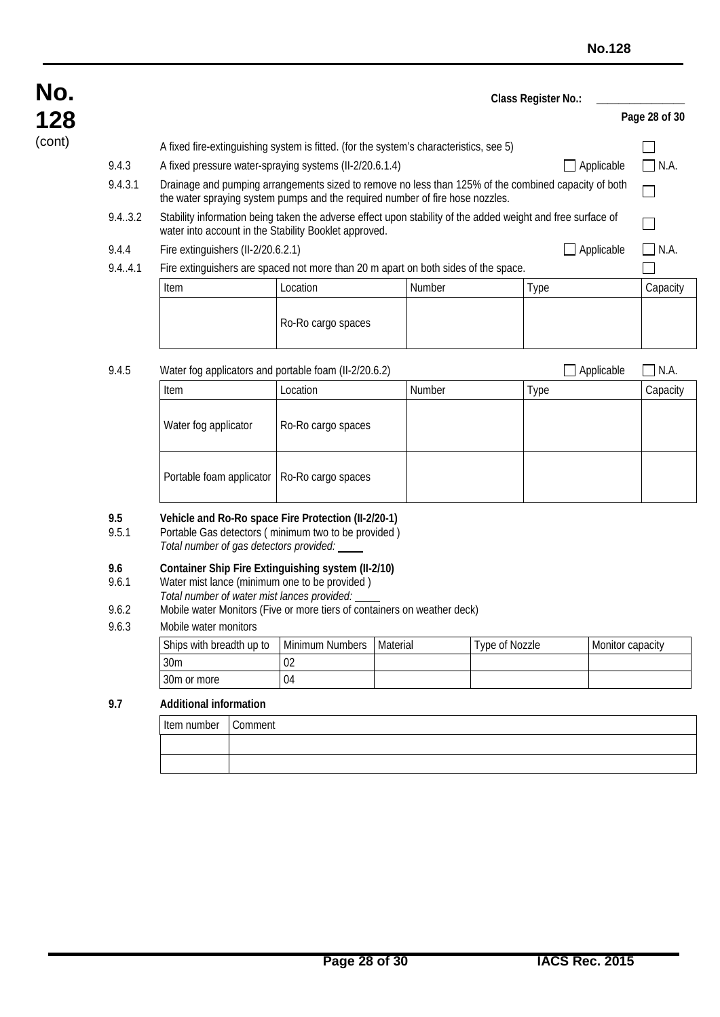| No.    |              |                                                                                                         |                                                                                                            |        | Class Register No.:                                                                                         |               |
|--------|--------------|---------------------------------------------------------------------------------------------------------|------------------------------------------------------------------------------------------------------------|--------|-------------------------------------------------------------------------------------------------------------|---------------|
| 128    |              |                                                                                                         |                                                                                                            |        |                                                                                                             | Page 28 of 30 |
| (cont) |              |                                                                                                         | A fixed fire-extinguishing system is fitted. (for the system's characteristics, see 5)                     |        |                                                                                                             |               |
|        | 9.4.3        |                                                                                                         | A fixed pressure water-spraying systems (II-2/20.6.1.4)                                                    |        | $\Box$ Applicable                                                                                           | $\Box$ N.A.   |
|        | 9.4.3.1      |                                                                                                         | the water spraying system pumps and the required number of fire hose nozzles.                              |        | Drainage and pumping arrangements sized to remove no less than 125% of the combined capacity of both        |               |
|        | 9.4.3.2      | water into account in the Stability Booklet approved.                                                   |                                                                                                            |        | Stability information being taken the adverse effect upon stability of the added weight and free surface of |               |
|        | 9.4.4        | Fire extinguishers (II-2/20.6.2.1)                                                                      |                                                                                                            |        | $\Box$ Applicable                                                                                           | $\Box$ N.A.   |
|        | 9.4.4.1      |                                                                                                         | Fire extinguishers are spaced not more than 20 m apart on both sides of the space.                         |        |                                                                                                             |               |
|        |              | Item                                                                                                    | Location                                                                                                   | Number | Type                                                                                                        | Capacity      |
|        |              |                                                                                                         | Ro-Ro cargo spaces                                                                                         |        |                                                                                                             |               |
|        | 9.4.5        |                                                                                                         | Water fog applicators and portable foam (II-2/20.6.2)                                                      |        | Applicable                                                                                                  | N.A.          |
|        |              | Item                                                                                                    | Location                                                                                                   | Number | Type                                                                                                        | Capacity      |
|        |              | Water fog applicator                                                                                    | Ro-Ro cargo spaces                                                                                         |        |                                                                                                             |               |
|        |              | Portable foam applicator                                                                                | Ro-Ro cargo spaces                                                                                         |        |                                                                                                             |               |
|        | 9.5<br>9.5.1 | Total number of gas detectors provided:                                                                 | Vehicle and Ro-Ro space Fire Protection (II-2/20-1)<br>Portable Gas detectors (minimum two to be provided) |        |                                                                                                             |               |
|        | 9.6<br>9.6.1 | Water mist lance (minimum one to be provided)<br>Tatal muscle an afficiation might language monetal and | Container Ship Fire Extinguishing system (II-2/10)                                                         |        |                                                                                                             |               |

- *Total number of water mist lances provided:*
- 9.6.2 Mobile water Monitors (Five or more tiers of containers on weather deck)

#### 9.6.3 Mobile water monitors

| Ships with breadth up to | l Minimum Numbers | <b>Material</b> | Type of Nozzle | Monitor capacity |
|--------------------------|-------------------|-----------------|----------------|------------------|
| 30 <sub>m</sub>          | 02                |                 |                |                  |
| 30m or more              | 04                |                 |                |                  |

#### **9.7 Additional information**

| Item number | Comment |
|-------------|---------|
|             |         |
|             |         |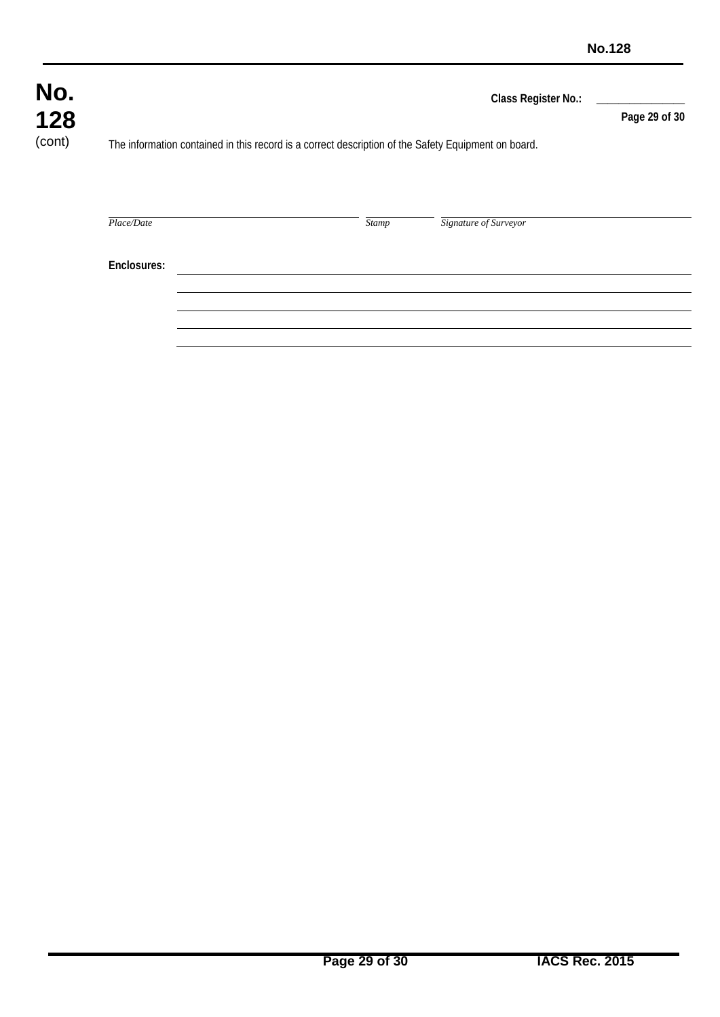| No.<br>128 |             |  |       |                                                                                                     | Class Register No.: | Page 29 of 30 |
|------------|-------------|--|-------|-----------------------------------------------------------------------------------------------------|---------------------|---------------|
| (cont)     |             |  |       | The information contained in this record is a correct description of the Safety Equipment on board. |                     |               |
|            |             |  |       |                                                                                                     |                     |               |
|            | Place/Date  |  | Stamp | Signature of Surveyor                                                                               |                     |               |
|            |             |  |       |                                                                                                     |                     |               |
|            | Enclosures: |  |       |                                                                                                     |                     |               |
|            |             |  |       |                                                                                                     |                     |               |
|            |             |  |       |                                                                                                     |                     |               |